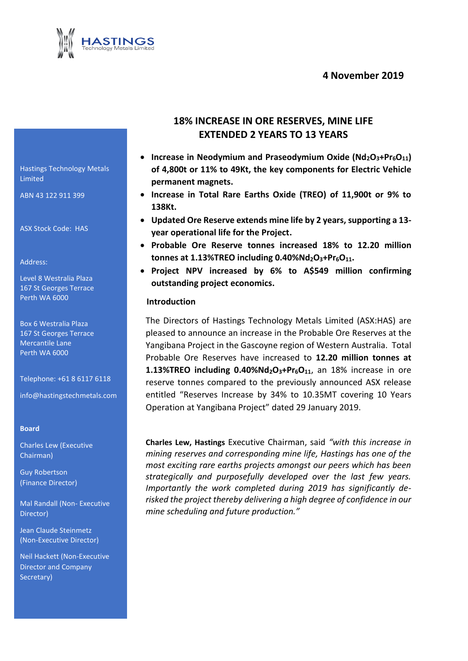## **4 November 2019**



Hastings Technology Metals Limited

ABN 43 122 911 399

ASX Stock Code: HAS

Address:

Level 8 Westralia Plaza 167 St Georges Terrace Perth WA 6000

Box 6 Westralia Plaza 167 St Georges Terrace Mercantile Lane Perth WA 6000

Telephone: +61 8 6117 6118

info@hastingstechmetals.com

#### **Board**

Charles Lew (Executive Chairman)

Guy Robertson (Finance Director)

Mal Randall (Non- Executive Director)

Jean Claude Steinmetz (Non-Executive Director)

Neil Hackett (Non-Executive Director and Company (Non-Exec<br>Neil Hacke<br>Director al<br>Secretary)

## **18% INCREASE IN ORE RESERVES, MINE LIFE EXTENDED 2 YEARS TO 13 YEARS**

- **Increase in Neodymium and Praseodymium Oxide (Nd<sub>2</sub>O<sub>3</sub>+Pr<sub>6</sub>O<sub>11</sub>) of 4,800t or 11% to 49Kt, the key components for Electric Vehicle permanent magnets.**
- **Increase in Total Rare Earths Oxide (TREO) of 11,900t or 9% to 138Kt.**
- **Updated Ore Reserve extends mine life by 2 years, supporting a 13 year operational life for the Project.**
- **Probable Ore Reserve tonnes increased 18% to 12.20 million tonnes at 1.13%TREO including 0.40%Nd2O3+Pr6O11.**
- **Project NPV increased by 6% to A\$549 million confirming outstanding project economics.**

#### **Introduction**

The Directors of Hastings Technology Metals Limited (ASX:HAS) are pleased to announce an increase in the Probable Ore Reserves at the Yangibana Project in the Gascoyne region of Western Australia. Total Probable Ore Reserves have increased to **12.20 million tonnes at 1.13%TREO including 0.40%Nd2O3+Pr6O11**, an 18% increase in ore reserve tonnes compared to the previously announced ASX release entitled "Reserves Increase by 34% to 10.35MT covering 10 Years Operation at Yangibana Project" dated 29 January 2019.

**Charles Lew, Hastings** Executive Chairman, said *"with this increase in mining reserves and corresponding mine life, Hastings has one of the most exciting rare earths projects amongst our peers which has been strategically and purposefully developed over the last few years. Importantly the work completed during 2019 has significantly derisked the project thereby delivering a high degree of confidence in our mine scheduling and future production."*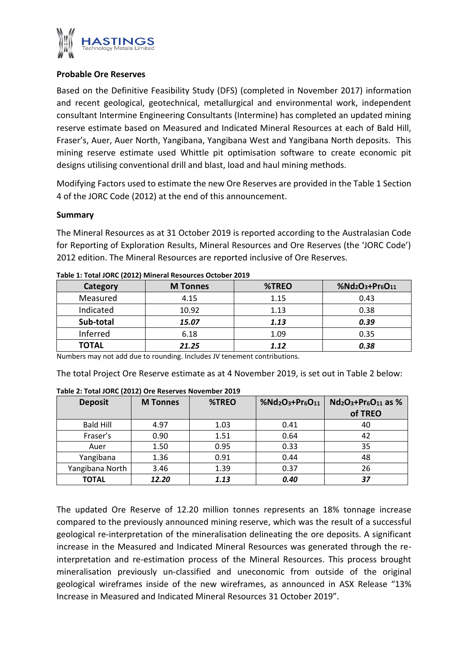

## **Probable Ore Reserves**

Based on the Definitive Feasibility Study (DFS) (completed in November 2017) information and recent geological, geotechnical, metallurgical and environmental work, independent consultant Intermine Engineering Consultants (Intermine) has completed an updated mining reserve estimate based on Measured and Indicated Mineral Resources at each of Bald Hill, Fraser's, Auer, Auer North, Yangibana, Yangibana West and Yangibana North deposits. This mining reserve estimate used Whittle pit optimisation software to create economic pit designs utilising conventional drill and blast, load and haul mining methods.

Modifying Factors used to estimate the new Ore Reserves are provided in the Table 1 Section 4 of the JORC Code (2012) at the end of this announcement.

## **Summary**

The Mineral Resources as at 31 October 2019 is reported according to the Australasian Code for Reporting of Exploration Results, Mineral Resources and Ore Reserves (the 'JORC Code') 2012 edition. The Mineral Resources are reported inclusive of Ore Reserves.

| Category     | <b>M</b> Tonnes | %TREO | %Nd2O3+Pr6O11 |
|--------------|-----------------|-------|---------------|
| Measured     | 4.15            | 1.15  | 0.43          |
| Indicated    | 10.92           | 1.13  | 0.38          |
| Sub-total    | 15.07           | 1.13  | 0.39          |
| Inferred     | 6.18            | 1.09  | 0.35          |
| <b>TOTAL</b> | 21.25           | 1.12  | 0.38          |

Numbers may not add due to rounding. Includes JV tenement contributions.

The total Project Ore Reserve estimate as at 4 November 2019, is set out in Table 2 below:

| <b>Deposit</b>   | <b>M</b> Tonnes | %TREO | %Nd <sub>2</sub> O <sub>3</sub> +Pr <sub>6</sub> O <sub>11</sub> | $Nd_2O_3+Pr_6O_{11}$ as % |
|------------------|-----------------|-------|------------------------------------------------------------------|---------------------------|
|                  |                 |       |                                                                  | of TREO                   |
| <b>Bald Hill</b> | 4.97            | 1.03  | 0.41                                                             | 40                        |
| Fraser's         | 0.90            | 1.51  | 0.64                                                             | 42                        |
| Auer             | 1.50            | 0.95  | 0.33                                                             | 35                        |
| Yangibana        | 1.36            | 0.91  | 0.44                                                             | 48                        |
| Yangibana North  | 3.46            | 1.39  | 0.37                                                             | 26                        |
| <b>TOTAL</b>     | 12.20           | 1.13  | 0.40                                                             | 37                        |

#### **Table 2: Total JORC (2012) Ore Reserves November 2019**

The updated Ore Reserve of 12.20 million tonnes represents an 18% tonnage increase compared to the previously announced mining reserve, which was the result of a successful geological re-interpretation of the mineralisation delineating the ore deposits. A significant increase in the Measured and Indicated Mineral Resources was generated through the reinterpretation and re-estimation process of the Mineral Resources. This process brought mineralisation previously un-classified and uneconomic from outside of the original geological wireframes inside of the new wireframes, as announced in ASX Release "13% geological re-interpretation of the mineralisation delineating the ore dependences in the Measured and Indicated Mineral Resources was generate interpretation and re-estimation process of the Mineral Resources. This minera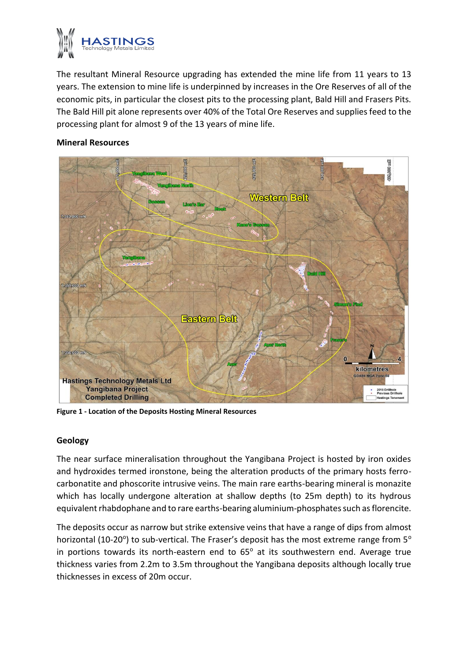

The resultant Mineral Resource upgrading has extended the mine life from 11 years to 13 years. The extension to mine life is underpinned by increases in the Ore Reserves of all of the economic pits, in particular the closest pits to the processing plant, Bald Hill and Frasers Pits. The Bald Hill pit alone represents over 40% of the Total Ore Reserves and supplies feed to the processing plant for almost 9 of the 13 years of mine life.

## **Mineral Resources**



**Figure 1 - Location of the Deposits Hosting Mineral Resources**

## **Geology**

The near surface mineralisation throughout the Yangibana Project is hosted by iron oxides and hydroxides termed ironstone, being the alteration products of the primary hosts ferrocarbonatite and phoscorite intrusive veins. The main rare earths-bearing mineral is monazite which has locally undergone alteration at shallow depths (to 25m depth) to its hydrous equivalent rhabdophane and to rare earths-bearing aluminium-phosphates such as florencite.

The deposits occur as narrow but strike extensive veins that have a range of dips from almost horizontal (10-20°) to sub-vertical. The Fraser's deposit has the most extreme range from 5° in portions towards its north-eastern end to 65° at its southwestern end. Average true thickness varies from 2.2m to 3.5m through in portions towards its north-eastern end to  $65^\circ$  at its southwestern end. Average true thickness varies from 2.2m to 3.5m throughout the Yangibana deposits although locally true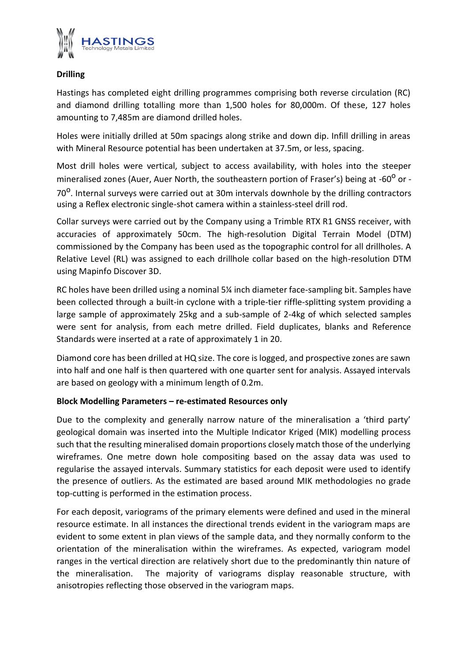

## **Drilling**

Hastings has completed eight drilling programmes comprising both reverse circulation (RC) and diamond drilling totalling more than 1,500 holes for 80,000m. Of these, 127 holes amounting to 7,485m are diamond drilled holes.

Holes were initially drilled at 50m spacings along strike and down dip. Infill drilling in areas with Mineral Resource potential has been undertaken at 37.5m, or less, spacing.

Most drill holes were vertical, subject to access availability, with holes into the steeper mineralised zones (Auer, Auer North, the southeastern portion of Fraser's) being at -60<sup>o</sup> or -70<sup>o</sup>. Internal surveys were carried out at 30m intervals downhole by the drilling contractors using a Reflex electronic single-shot camera within a stainless-steel drill rod.

Collar surveys were carried out by the Company using a Trimble RTX R1 GNSS receiver, with accuracies of approximately 50cm. The high-resolution Digital Terrain Model (DTM) commissioned by the Company has been used as the topographic control for all drillholes. A Relative Level (RL) was assigned to each drillhole collar based on the high-resolution DTM using Mapinfo Discover 3D.

RC holes have been drilled using a nominal 5¼ inch diameter face-sampling bit. Samples have been collected through a built-in cyclone with a triple-tier riffle-splitting system providing a large sample of approximately 25kg and a sub-sample of 2-4kg of which selected samples were sent for analysis, from each metre drilled. Field duplicates, blanks and Reference Standards were inserted at a rate of approximately 1 in 20.

Diamond core has been drilled at HQ size. The core is logged, and prospective zones are sawn into half and one half is then quartered with one quarter sent for analysis. Assayed intervals are based on geology with a minimum length of 0.2m.

## **Block Modelling Parameters – re-estimated Resources only**

Due to the complexity and generally narrow nature of the mineralisation a 'third party' geological domain was inserted into the Multiple Indicator Kriged (MIK) modelling process such that the resulting mineralised domain proportions closely match those of the underlying wireframes. One metre down hole compositing based on the assay data was used to regularise the assayed intervals. Summary statistics for each deposit were used to identify the presence of outliers. As the estimated are based around MIK methodologies no grade top-cutting is performed in the estimation process.

For each deposit, variograms of the primary elements were defined and used in the mineral resource estimate. In all instances the directional trends evident in the variogram maps are evident to some extent in plan views of the sample data, and they normally conform to the orientation of the mineralisation within the wireframes. As expected, variogram model ranges in the vertical direction are relatively short due to the predominantly thin nature of the mineralisation. The majority of variograms display reasonable structure, with anisotropies reflecting those observed in the variogram maps.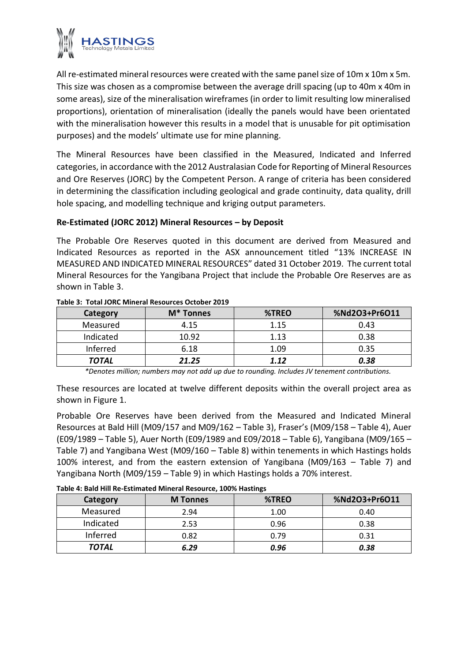

All re-estimated mineral resources were created with the same panel size of 10m x 10m x 5m. This size was chosen as a compromise between the average drill spacing (up to 40m x 40m in some areas), size of the mineralisation wireframes (in order to limit resulting low mineralised proportions), orientation of mineralisation (ideally the panels would have been orientated with the mineralisation however this results in a model that is unusable for pit optimisation purposes) and the models' ultimate use for mine planning.

The Mineral Resources have been classified in the Measured, Indicated and Inferred categories, in accordance with the 2012 Australasian Code for Reporting of Mineral Resources and Ore Reserves (JORC) by the Competent Person. A range of criteria has been considered in determining the classification including geological and grade continuity, data quality, drill hole spacing, and modelling technique and kriging output parameters.

## **Re-Estimated (JORC 2012) Mineral Resources – by Deposit**

The Probable Ore Reserves quoted in this document are derived from Measured and Indicated Resources as reported in the ASX announcement titled "13% INCREASE IN MEASURED AND INDICATED MINERAL RESOURCES" dated 31 October 2019. The current total Mineral Resources for the Yangibana Project that include the Probable Ore Reserves are as shown in Table 3.

| Category  | M <sup>*</sup> Tonnes | %TREO | %Nd2O3+Pr6O11 |
|-----------|-----------------------|-------|---------------|
| Measured  | 4.15                  | 1.15  | 0.43          |
| Indicated | 10.92                 | 1.13  | 0.38          |
| Inferred  | 6.18                  | 1.09  | 0.35          |
| TOTAL     | 21.25                 | 1.12  | 0.38          |

#### **Table 3: Total JORC Mineral Resources October 2019**

*\*Denotes million; numbers may not add up due to rounding. Includes JV tenement contributions.*

These resources are located at twelve different deposits within the overall project area as shown in Figure 1.

Probable Ore Reserves have been derived from the Measured and Indicated Mineral Resources at Bald Hill (M09/157 and M09/162 – Table 3), Fraser's (M09/158 – Table 4), Auer (E09/1989 – Table 5), Auer North (E09/1989 and E09/2018 – Table 6), Yangibana (M09/165 – Table 7) and Yangibana West (M09/160 – Table 8) within tenements in which Hastings holds 100% interest, and from the eastern extension of Yangibana (M09/163 – Table 7) and Yangibana North (M09/159 – Table 9) in which Hastings holds a 70% interest.

#### **Table 4: Bald Hill Re-Estimated Mineral Resource, 100% Hastings**

| Category  | <b>M</b> Tonnes | %TREO | %Nd2O3+Pr6O11 |
|-----------|-----------------|-------|---------------|
| Measured  | 2.94            | 1.00  | 0.40          |
| Indicated | 2.53            | 0.96  | 0.38          |
| Inferred  | 0.82            | 0.79  | 0.31          |
| TOTAL     | 6.29            | 0.96  | 0.38          |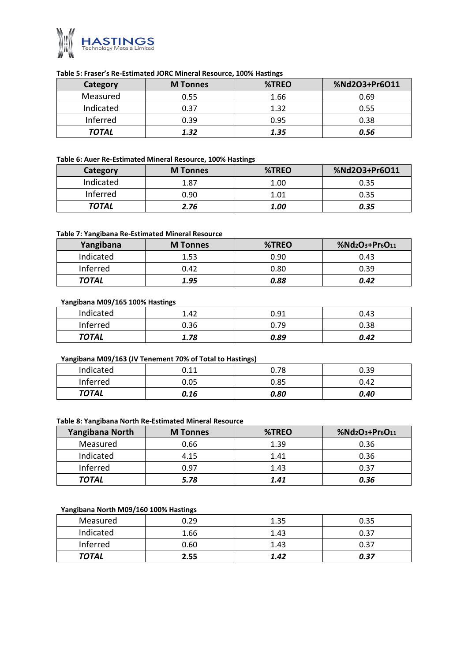

#### **Table 5: Fraser's Re-Estimated JORC Mineral Resource, 100% Hastings**

| Category  | <b>M</b> Tonnes | %TREO | %Nd2O3+Pr6O11 |
|-----------|-----------------|-------|---------------|
| Measured  | 0.55            | 1.66  | 0.69          |
| Indicated | 0.37            | 1.32  | 0.55          |
| Inferred  | 0.39            | 0.95  | 0.38          |
| TOTAL     | 1.32            | 1.35  | 0.56          |

#### **Table 6: Auer Re-Estimated Mineral Resource, 100% Hastings**

| Category  | <b>M</b> Tonnes | %TREO | %Nd2O3+Pr6O11 |
|-----------|-----------------|-------|---------------|
| Indicated | 1.87            | 1.00  | 0.35          |
| Inferred  | 0.90            | 1.01  | 0.35          |
| TOTAL     | 2.76            | 1.00  | 0.35          |

#### **Table 7: Yangibana Re-Estimated Mineral Resource**

| Yangibana    | <b>M</b> Tonnes | %TREO | %Nd2O3+Pr6O11 |
|--------------|-----------------|-------|---------------|
| Indicated    | 1.53            | 0.90  | 0.43          |
| Inferred     | 0.42            | 0.80  | 0.39          |
| <b>TOTAL</b> | 1.95            | 0.88  | 0.42          |

#### **Yangibana M09/165 100% Hastings**

| Indicated    | 1.42 | 0.91 | 0.43 |
|--------------|------|------|------|
| Inferred     | 0.36 | 0.79 | 0.38 |
| <b>TOTAL</b> | 1.78 | 0.89 | 0.42 |

#### **Yangibana M09/163 (JV Tenement 70% of Total to Hastings)**

| Indicated    | 0.11 | 0.78 | 0.39 |
|--------------|------|------|------|
| Inferred     | 0.05 | 0.85 | 0.42 |
| <b>TOTAL</b> | 0.16 | 0.80 | 0.40 |

#### **Table 8: Yangibana North Re-Estimated Mineral Resource**

| Yangibana North | <b>M</b> Tonnes | %TREO | %Nd2O3+Pr6O11 |
|-----------------|-----------------|-------|---------------|
| Measured        | 0.66            | 1.39  | 0.36          |
| Indicated       | 4.15            | 1.41  | 0.36          |
| Inferred        | 0.97            | 1.43  | 0.37          |
| <b>TOTAL</b>    | 5.78            | 1.41  | 0.36          |

#### **Yangibana North M09/160 100% Hastings**

| Indicated    | 1.66 | 1.43 | 0.37 |
|--------------|------|------|------|
| Inferred     | 0.60 | 1.43 | 0.37 |
| <b>TOTAL</b> | 2.55 | 1.42 |      |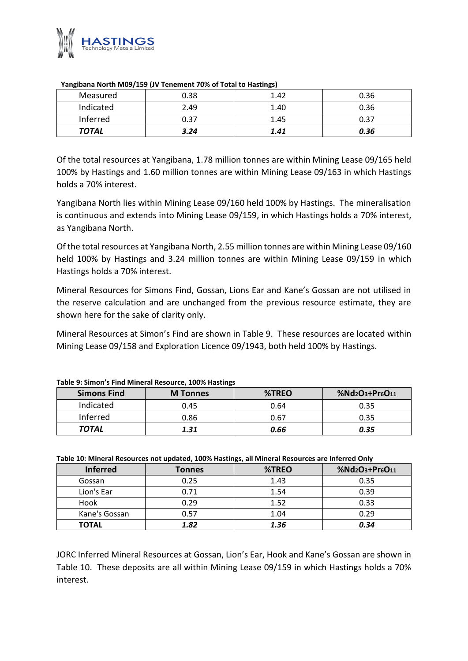

| Measured     | 0.38 | 1.42 | 0.36 |  |  |
|--------------|------|------|------|--|--|
| Indicated    | 2.49 | 1.40 | 0.36 |  |  |
| Inferred     | 0.37 | 1.45 | 0.37 |  |  |
| <b>TOTAL</b> | 3.24 | 1.41 | 0.36 |  |  |

#### **Yangibana North M09/159 (JV Tenement 70% of Total to Hastings)**

Of the total resources at Yangibana, 1.78 million tonnes are within Mining Lease 09/165 held 100% by Hastings and 1.60 million tonnes are within Mining Lease 09/163 in which Hastings holds a 70% interest.

Yangibana North lies within Mining Lease 09/160 held 100% by Hastings. The mineralisation is continuous and extends into Mining Lease 09/159, in which Hastings holds a 70% interest, as Yangibana North.

Of the total resources at Yangibana North, 2.55 million tonnes are within Mining Lease 09/160 held 100% by Hastings and 3.24 million tonnes are within Mining Lease 09/159 in which Hastings holds a 70% interest.

Mineral Resources for Simons Find, Gossan, Lions Ear and Kane's Gossan are not utilised in the reserve calculation and are unchanged from the previous resource estimate, they are shown here for the sake of clarity only.

Mineral Resources at Simon's Find are shown in Table 9. These resources are located within Mining Lease 09/158 and Exploration Licence 09/1943, both held 100% by Hastings.

|                    | . .             |       |                 |
|--------------------|-----------------|-------|-----------------|
| <b>Simons Find</b> | <b>M</b> Tonnes | %TREO | $%Nd2O3+Pr6O11$ |
| Indicated          | 0.45            | 0.64  | 0.35            |
| Inferred           | 0.86            | 0.67  | 0.35            |
| <b>TOTAL</b>       | 1.31            | 0.66  | 0.35            |

#### **Table 9: Simon's Find Mineral Resource, 100% Hastings**

#### **Table 10: Mineral Resources not updated, 100% Hastings, all Mineral Resources are Inferred Only**

| <b>Inferred</b> | <b>Tonnes</b> | %TREO | %Nd2O3+Pr6O11 |
|-----------------|---------------|-------|---------------|
| Gossan          | 0.25          | 1.43  | 0.35          |
| Lion's Ear      | 0.71          | 1.54  | 0.39          |
| Hook            | 0.29          | 1.52  | 0.33          |
| Kane's Gossan   | 0.57          | 1.04  | 0.29          |
| <b>TOTAL</b>    | 1.82          | 1.36  | 0.34          |

JORC Inferred Mineral Resources at Gossan, Lion's Ear, Hook and Kane's Gossan are shown in Table 10. These deposits are all within Mining Lease 09/159 in which Hastings holds a 70% JORC Inf<br>Table 10<br>interest.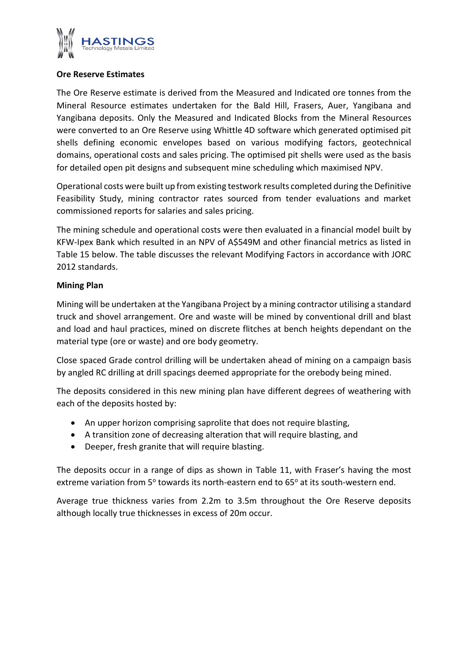

## **Ore Reserve Estimates**

The Ore Reserve estimate is derived from the Measured and Indicated ore tonnes from the Mineral Resource estimates undertaken for the Bald Hill, Frasers, Auer, Yangibana and Yangibana deposits. Only the Measured and Indicated Blocks from the Mineral Resources were converted to an Ore Reserve using Whittle 4D software which generated optimised pit shells defining economic envelopes based on various modifying factors, geotechnical domains, operational costs and sales pricing. The optimised pit shells were used as the basis for detailed open pit designs and subsequent mine scheduling which maximised NPV.

Operational costs were built up from existing testwork results completed during the Definitive Feasibility Study, mining contractor rates sourced from tender evaluations and market commissioned reports for salaries and sales pricing.

The mining schedule and operational costs were then evaluated in a financial model built by KFW-Ipex Bank which resulted in an NPV of A\$549M and other financial metrics as listed in Table 15 below. The table discusses the relevant Modifying Factors in accordance with JORC 2012 standards.

## **Mining Plan**

Mining will be undertaken at the Yangibana Project by a mining contractor utilising a standard truck and shovel arrangement. Ore and waste will be mined by conventional drill and blast and load and haul practices, mined on discrete flitches at bench heights dependant on the material type (ore or waste) and ore body geometry.

Close spaced Grade control drilling will be undertaken ahead of mining on a campaign basis by angled RC drilling at drill spacings deemed appropriate for the orebody being mined.

The deposits considered in this new mining plan have different degrees of weathering with each of the deposits hosted by:

- An upper horizon comprising saprolite that does not require blasting,
- A transition zone of decreasing alteration that will require blasting, and
- Deeper, fresh granite that will require blasting.

The deposits occur in a range of dips as shown in Table 11, with Fraser's having the most extreme variation from 5° towards its north-eastern end to 65° at its south-western end.

Average true thickness varies from 2.2m to 3.5m throughout the Ore Reserve deposits although locally true thicknesses in excess of 20m occur.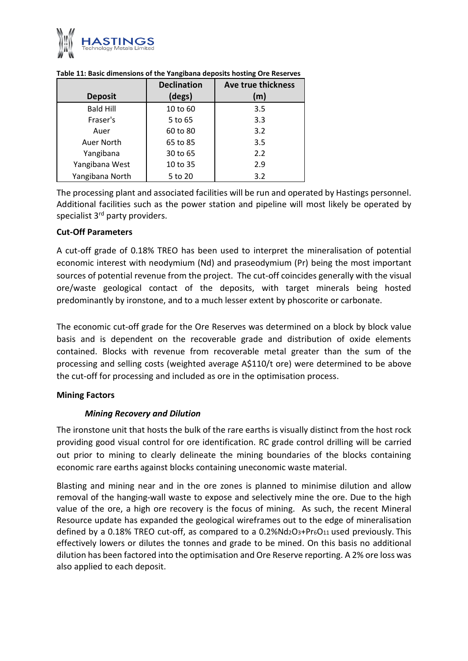

|                  | <b>Declination</b> | Ave true thickness |
|------------------|--------------------|--------------------|
| <b>Deposit</b>   | (degs)             | (m)                |
| <b>Bald Hill</b> | 10 to 60           | 3.5                |
| Fraser's         | 5 to 65            | 3.3                |
| Auer             | 60 to 80           | 3.2                |
| Auer North       | 65 to 85           | 3.5                |
| Yangibana        | 30 to 65           | 2.2                |
| Yangibana West   | 10 to 35           | 2.9                |
| Yangibana North  | 5 to 20            | 3.2                |

**Table 11: Basic dimensions of the Yangibana deposits hosting Ore Reserves**

The processing plant and associated facilities will be run and operated by Hastings personnel. Additional facilities such as the power station and pipeline will most likely be operated by specialist 3<sup>rd</sup> party providers.

## **Cut-Off Parameters**

A cut-off grade of 0.18% TREO has been used to interpret the mineralisation of potential economic interest with neodymium (Nd) and praseodymium (Pr) being the most important sources of potential revenue from the project. The cut-off coincides generally with the visual ore/waste geological contact of the deposits, with target minerals being hosted predominantly by ironstone, and to a much lesser extent by phoscorite or carbonate.

The economic cut-off grade for the Ore Reserves was determined on a block by block value basis and is dependent on the recoverable grade and distribution of oxide elements contained. Blocks with revenue from recoverable metal greater than the sum of the processing and selling costs (weighted average A\$110/t ore) were determined to be above the cut-off for processing and included as ore in the optimisation process.

## **Mining Factors**

## *Mining Recovery and Dilution*

The ironstone unit that hosts the bulk of the rare earths is visually distinct from the host rock providing good visual control for ore identification. RC grade control drilling will be carried out prior to mining to clearly delineate the mining boundaries of the blocks containing economic rare earths against blocks containing uneconomic waste material.

Blasting and mining near and in the ore zones is planned to minimise dilution and allow removal of the hanging-wall waste to expose and selectively mine the ore. Due to the high value of the ore, a high ore recovery is the focus of mining. As such, the recent Mineral Resource update has expanded the geological wireframes out to the edge of mineralisation defined by a 0.18% TREO cut-off, as compared to a  $0.2\%$ Nd<sub>2</sub>O<sub>3</sub>+Pr<sub>6</sub>O<sub>11</sub> used previously. This effectively lowers or dilutes the tonnes and grade to be mined. On this basis no additional dilution has been factored into the optimisation and Ore Reserve reporting. A 2% ore loss was also applied to each deposit.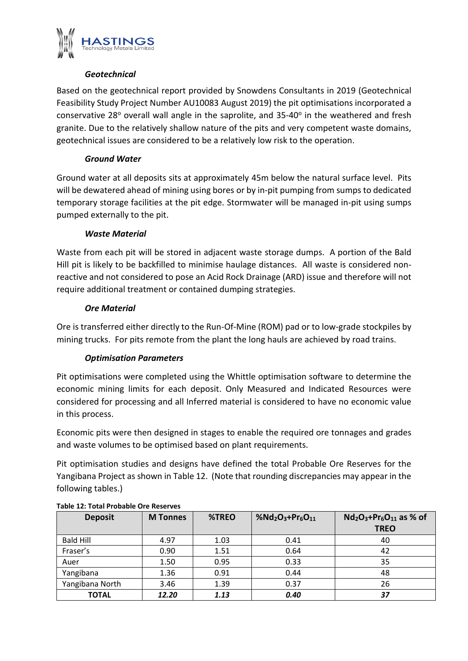

## *Geotechnical*

Based on the geotechnical report provided by Snowdens Consultants in 2019 (Geotechnical Feasibility Study Project Number AU10083 August 2019) the pit optimisations incorporated a conservative 28 $°$  overall wall angle in the saprolite, and 35-40 $°$  in the weathered and fresh granite. Due to the relatively shallow nature of the pits and very competent waste domains, geotechnical issues are considered to be a relatively low risk to the operation.

## *Ground Water*

Ground water at all deposits sits at approximately 45m below the natural surface level. Pits will be dewatered ahead of mining using bores or by in-pit pumping from sumps to dedicated temporary storage facilities at the pit edge. Stormwater will be managed in-pit using sumps pumped externally to the pit.

## *Waste Material*

Waste from each pit will be stored in adjacent waste storage dumps. A portion of the Bald Hill pit is likely to be backfilled to minimise haulage distances. All waste is considered nonreactive and not considered to pose an Acid Rock Drainage (ARD) issue and therefore will not require additional treatment or contained dumping strategies.

## *Ore Material*

Ore is transferred either directly to the Run-Of-Mine (ROM) pad or to low-grade stockpiles by mining trucks. For pits remote from the plant the long hauls are achieved by road trains.

## *Optimisation Parameters*

Pit optimisations were completed using the Whittle optimisation software to determine the economic mining limits for each deposit. Only Measured and Indicated Resources were considered for processing and all Inferred material is considered to have no economic value in this process.

Economic pits were then designed in stages to enable the required ore tonnages and grades and waste volumes to be optimised based on plant requirements.

Pit optimisation studies and designs have defined the total Probable Ore Reserves for the Yangibana Project as shown in Table 12. (Note that rounding discrepancies may appear in the following tables.)

| <b>Deposit</b>   | <b>M</b> Tonnes | %TREO | %Nd <sub>2</sub> O <sub>3</sub> +Pr <sub>6</sub> O <sub>11</sub> | $Nd_2O_3+Pr_6O_{11}$ as % of<br><b>TREO</b> |
|------------------|-----------------|-------|------------------------------------------------------------------|---------------------------------------------|
| <b>Bald Hill</b> | 4.97            | 1.03  | 0.41                                                             | 40                                          |
| Fraser's         | 0.90            | 1.51  | 0.64                                                             | 42                                          |
| Auer             | 1.50            | 0.95  | 0.33                                                             | 35                                          |
| Yangibana        | 1.36            | 0.91  | 0.44                                                             | 48                                          |
| Yangibana North  | 3.46            | 1.39  | 0.37                                                             | 26                                          |
| <b>TOTAL</b>     | 12.20           | 1.13  | 0.40                                                             | 37                                          |

## **Table 12: Total Probable Ore Reserves**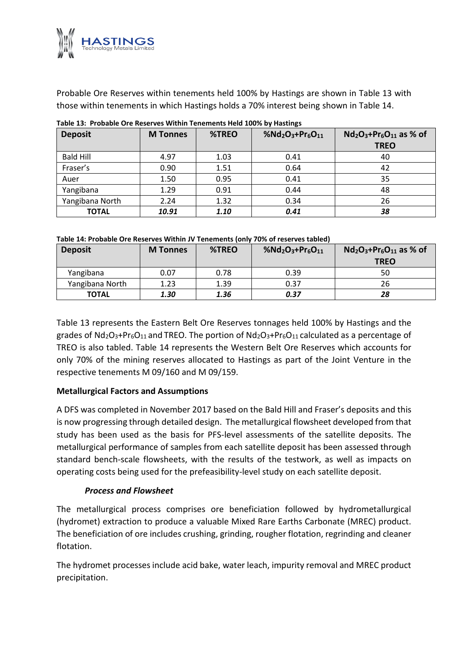

Probable Ore Reserves within tenements held 100% by Hastings are shown in Table 13 with those within tenements in which Hastings holds a 70% interest being shown in Table 14.

| <b>Deposit</b>   | <b>M</b> Tonnes | %TREO | %Nd <sub>2</sub> O <sub>3</sub> +Pr <sub>6</sub> O <sub>11</sub> | $Nd_2O_3+Pr_6O_{11}$ as % of |
|------------------|-----------------|-------|------------------------------------------------------------------|------------------------------|
|                  |                 |       |                                                                  | <b>TREO</b>                  |
| <b>Bald Hill</b> | 4.97            | 1.03  | 0.41                                                             | 40                           |
| Fraser's         | 0.90            | 1.51  | 0.64                                                             | 42                           |
| Auer             | 1.50            | 0.95  | 0.41                                                             | 35                           |
| Yangibana        | 1.29            | 0.91  | 0.44                                                             | 48                           |
| Yangibana North  | 2.24            | 1.32  | 0.34                                                             | 26                           |
| <b>TOTAL</b>     | 10.91           | 1.10  | 0.41                                                             | 38                           |

#### **Table 13: Probable Ore Reserves Within Tenements Held 100% by Hastings**

**Table 14: Probable Ore Reserves Within JV Tenements (only 70% of reserves tabled)**

| <b>Deposit</b>  | <b>M</b> Tonnes | %TREO | %Nd <sub>2</sub> O <sub>3</sub> +Pr <sub>6</sub> O <sub>11</sub> | $Nd_2O_3+Pr_6O_{11}$ as % of<br><b>TREO</b> |
|-----------------|-----------------|-------|------------------------------------------------------------------|---------------------------------------------|
| Yangibana       | 0.07            | 0.78  | 0.39                                                             | 50                                          |
| Yangibana North | 1.23            | 1.39  | 0.37                                                             | 26                                          |
| <b>TOTAL</b>    | 1.30            | 1.36  | 0.37                                                             | 28                                          |

Table 13 represents the Eastern Belt Ore Reserves tonnages held 100% by Hastings and the grades of  $Nd_2O_3+Pr_6O_{11}$  and TREO. The portion of  $Nd_2O_3+Pr_6O_{11}$  calculated as a percentage of TREO is also tabled. Table 14 represents the Western Belt Ore Reserves which accounts for only 70% of the mining reserves allocated to Hastings as part of the Joint Venture in the respective tenements M 09/160 and M 09/159.

## **Metallurgical Factors and Assumptions**

A DFS was completed in November 2017 based on the Bald Hill and Fraser's deposits and this is now progressing through detailed design. The metallurgical flowsheet developed from that study has been used as the basis for PFS-level assessments of the satellite deposits. The metallurgical performance of samples from each satellite deposit has been assessed through standard bench-scale flowsheets, with the results of the testwork, as well as impacts on operating costs being used for the prefeasibility-level study on each satellite deposit.

## *Process and Flowsheet*

The metallurgical process comprises ore beneficiation followed by hydrometallurgical (hydromet) extraction to produce a valuable Mixed Rare Earths Carbonate (MREC) product. The beneficiation of ore includes crushing, grinding, rougher flotation, regrinding and cleaner flotation.

The hydromet processes include acid bake, water leach, impurity removal and MREC product The beneficia<br>flotation.<br>The hydrome<br>precipitation.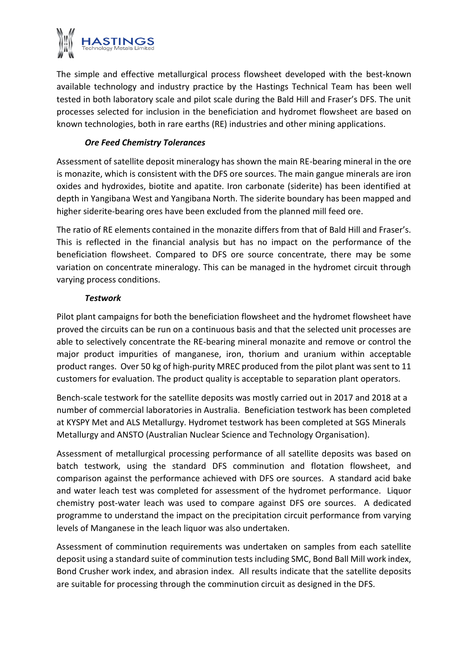

The simple and effective metallurgical process flowsheet developed with the best-known available technology and industry practice by the Hastings Technical Team has been well tested in both laboratory scale and pilot scale during the Bald Hill and Fraser's DFS. The unit processes selected for inclusion in the beneficiation and hydromet flowsheet are based on known technologies, both in rare earths (RE) industries and other mining applications.

## *Ore Feed Chemistry Tolerances*

Assessment of satellite deposit mineralogy has shown the main RE-bearing mineral in the ore is monazite, which is consistent with the DFS ore sources. The main gangue minerals are iron oxides and hydroxides, biotite and apatite. Iron carbonate (siderite) has been identified at depth in Yangibana West and Yangibana North. The siderite boundary has been mapped and higher siderite-bearing ores have been excluded from the planned mill feed ore.

The ratio of RE elements contained in the monazite differs from that of Bald Hill and Fraser's. This is reflected in the financial analysis but has no impact on the performance of the beneficiation flowsheet. Compared to DFS ore source concentrate, there may be some variation on concentrate mineralogy. This can be managed in the hydromet circuit through varying process conditions.

## *Testwork*

Pilot plant campaigns for both the beneficiation flowsheet and the hydromet flowsheet have proved the circuits can be run on a continuous basis and that the selected unit processes are able to selectively concentrate the RE-bearing mineral monazite and remove or control the major product impurities of manganese, iron, thorium and uranium within acceptable product ranges. Over 50 kg of high-purity MREC produced from the pilot plant was sent to 11 customers for evaluation. The product quality is acceptable to separation plant operators.

Bench-scale testwork for the satellite deposits was mostly carried out in 2017 and 2018 at a number of commercial laboratories in Australia. Beneficiation testwork has been completed at KYSPY Met and ALS Metallurgy. Hydromet testwork has been completed at SGS Minerals Metallurgy and ANSTO (Australian Nuclear Science and Technology Organisation).

Assessment of metallurgical processing performance of all satellite deposits was based on batch testwork, using the standard DFS comminution and flotation flowsheet, and comparison against the performance achieved with DFS ore sources. A standard acid bake and water leach test was completed for assessment of the hydromet performance. Liquor chemistry post-water leach was used to compare against DFS ore sources. A dedicated programme to understand the impact on the precipitation circuit performance from varying levels of Manganese in the leach liquor was also undertaken.

Assessment of comminution requirements was undertaken on samples from each satellite deposit using a standard suite of comminution tests including SMC, Bond Ball Mill work index, Bond Crusher work index, and abrasion index. All results indicate that the satellite deposits Assessment of comminution requirements was undertaken on samples from each deposit using a standard suite of comminution tests including SMC, Bond Ball Mill we Bond Crusher work index, and abrasion index. All results indic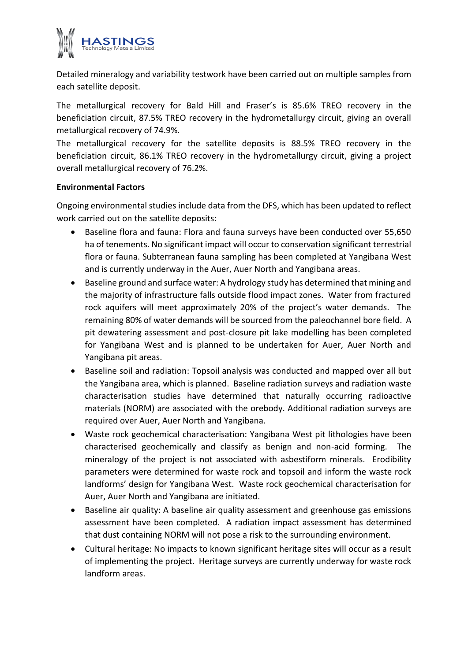

Detailed mineralogy and variability testwork have been carried out on multiple samples from each satellite deposit.

The metallurgical recovery for Bald Hill and Fraser's is 85.6% TREO recovery in the beneficiation circuit, 87.5% TREO recovery in the hydrometallurgy circuit, giving an overall metallurgical recovery of 74.9%.

The metallurgical recovery for the satellite deposits is 88.5% TREO recovery in the beneficiation circuit, 86.1% TREO recovery in the hydrometallurgy circuit, giving a project overall metallurgical recovery of 76.2%.

## **Environmental Factors**

Ongoing environmental studies include data from the DFS, which has been updated to reflect work carried out on the satellite deposits:

- Baseline flora and fauna: Flora and fauna surveys have been conducted over 55,650 ha of tenements. No significant impact will occur to conservation significant terrestrial flora or fauna. Subterranean fauna sampling has been completed at Yangibana West and is currently underway in the Auer, Auer North and Yangibana areas.
- Baseline ground and surface water: A hydrology study has determined that mining and the majority of infrastructure falls outside flood impact zones. Water from fractured rock aquifers will meet approximately 20% of the project's water demands. The remaining 80% of water demands will be sourced from the paleochannel bore field. A pit dewatering assessment and post-closure pit lake modelling has been completed for Yangibana West and is planned to be undertaken for Auer, Auer North and Yangibana pit areas.
- Baseline soil and radiation: Topsoil analysis was conducted and mapped over all but the Yangibana area, which is planned. Baseline radiation surveys and radiation waste characterisation studies have determined that naturally occurring radioactive materials (NORM) are associated with the orebody. Additional radiation surveys are required over Auer, Auer North and Yangibana.
- Waste rock geochemical characterisation: Yangibana West pit lithologies have been characterised geochemically and classify as benign and non-acid forming. The mineralogy of the project is not associated with asbestiform minerals. Erodibility parameters were determined for waste rock and topsoil and inform the waste rock landforms' design for Yangibana West. Waste rock geochemical characterisation for Auer, Auer North and Yangibana are initiated.
- Baseline air quality: A baseline air quality assessment and greenhouse gas emissions assessment have been completed. A radiation impact assessment has determined that dust containing NORM will not pose a risk to the surrounding environment.
- Cultural heritage: No impacts to known significant heritage sites will occur as a result of implementing the project. Heritage surveys are currently underway for waste rock landform areas.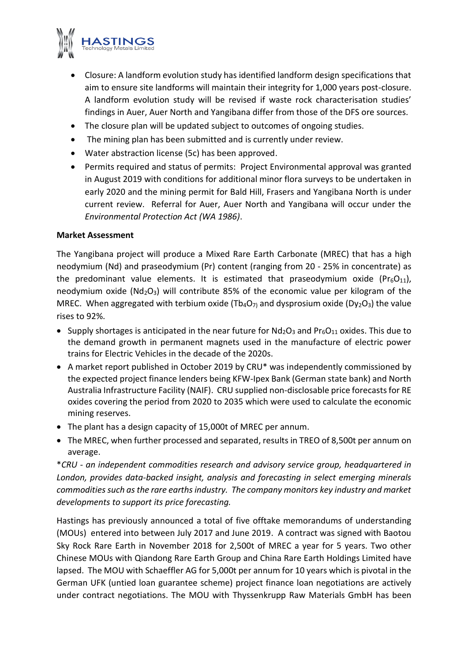

- Closure: A landform evolution study has identified landform design specifications that aim to ensure site landforms will maintain their integrity for 1,000 years post-closure. A landform evolution study will be revised if waste rock characterisation studies' findings in Auer, Auer North and Yangibana differ from those of the DFS ore sources.
- The closure plan will be updated subject to outcomes of ongoing studies.
- The mining plan has been submitted and is currently under review.
- Water abstraction license (5c) has been approved.
- Permits required and status of permits: Project Environmental approval was granted in August 2019 with conditions for additional minor flora surveys to be undertaken in early 2020 and the mining permit for Bald Hill, Frasers and Yangibana North is under current review. Referral for Auer, Auer North and Yangibana will occur under the *Environmental Protection Act (WA 1986)*.

## **Market Assessment**

The Yangibana project will produce a Mixed Rare Earth Carbonate (MREC) that has a high neodymium (Nd) and praseodymium (Pr) content (ranging from 20 - 25% in concentrate) as the predominant value elements. It is estimated that praseodymium oxide ( $Pr<sub>6</sub>O<sub>11</sub>$ ), neodymium oxide ( $Nd_2O_3$ ) will contribute 85% of the economic value per kilogram of the MREC. When aggregated with terbium oxide (Tb<sub>4</sub>O<sub>7)</sub> and dysprosium oxide (Dy<sub>2</sub>O<sub>3</sub>) the value rises to 92%.

- Supply shortages is anticipated in the near future for  $Nd_2O_3$  and  $Pr_6O_{11}$  oxides. This due to the demand growth in permanent magnets used in the manufacture of electric power trains for Electric Vehicles in the decade of the 2020s.
- A market report published in October 2019 by CRU\* was independently commissioned by the expected project finance lenders being KFW-Ipex Bank (German state bank) and North Australia Infrastructure Facility (NAIF). CRU supplied non-disclosable price forecasts for RE oxides covering the period from 2020 to 2035 which were used to calculate the economic mining reserves.
- The plant has a design capacity of 15,000t of MREC per annum.
- The MREC, when further processed and separated, results in TREO of 8,500t per annum on average.

\**CRU - an independent commodities research and advisory service group, headquartered in London, provides data-backed insight, analysis and forecasting in select emerging minerals commodities such as the rare earths industry. The company monitors key industry and market developments to support its price forecasting.*

Hastings has previously announced a total of five offtake memorandums of understanding (MOUs) entered into between July 2017 and June 2019. A contract was signed with Baotou Sky Rock Rare Earth in November 2018 for 2,500t of MREC a year for 5 years. Two other Chinese MOUs with Qiandong Rare Earth Group and China Rare Earth Holdings Limited have lapsed. The MOU with Schaeffler AG for 5,000t per annum for 10 years which is pivotal in the German UFK (untied loan guarantee scheme) project finance loan negotiations are actively under contract negotiations. The MOU with Thyssenkrupp Raw Materials GmbH has been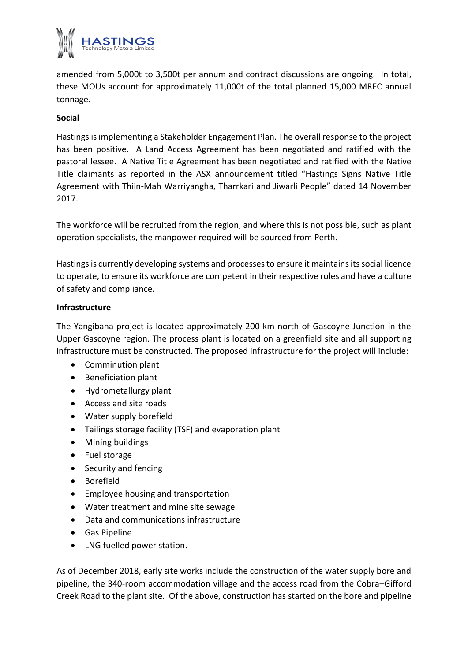

amended from 5,000t to 3,500t per annum and contract discussions are ongoing. In total, these MOUs account for approximately 11,000t of the total planned 15,000 MREC annual tonnage.

## **Social**

Hastings is implementing a Stakeholder Engagement Plan. The overall response to the project has been positive. A Land Access Agreement has been negotiated and ratified with the pastoral lessee. A Native Title Agreement has been negotiated and ratified with the Native Title claimants as reported in the ASX announcement titled "Hastings Signs Native Title Agreement with Thiin-Mah Warriyangha, Tharrkari and Jiwarli People" dated 14 November 2017.

The workforce will be recruited from the region, and where this is not possible, such as plant operation specialists, the manpower required will be sourced from Perth.

Hastings is currently developing systems and processes to ensure it maintains its social licence to operate, to ensure its workforce are competent in their respective roles and have a culture of safety and compliance.

## **Infrastructure**

The Yangibana project is located approximately 200 km north of Gascoyne Junction in the Upper Gascoyne region. The process plant is located on a greenfield site and all supporting infrastructure must be constructed. The proposed infrastructure for the project will include:

- Comminution plant
- Beneficiation plant
- Hydrometallurgy plant
- Access and site roads
- Water supply borefield
- Tailings storage facility (TSF) and evaporation plant
- Mining buildings
- Fuel storage
- Security and fencing
- Borefield
- Employee housing and transportation
- Water treatment and mine site sewage
- Data and communications infrastructure
- Gas Pipeline
- LNG fuelled power station.

As of December 2018, early site works include the construction of the water supply bore and pipeline, the 340-room accommodation village and the access road from the Cobra–Gifford Creek Road to the plant site. Of the above, construction has started on the bore and pipeline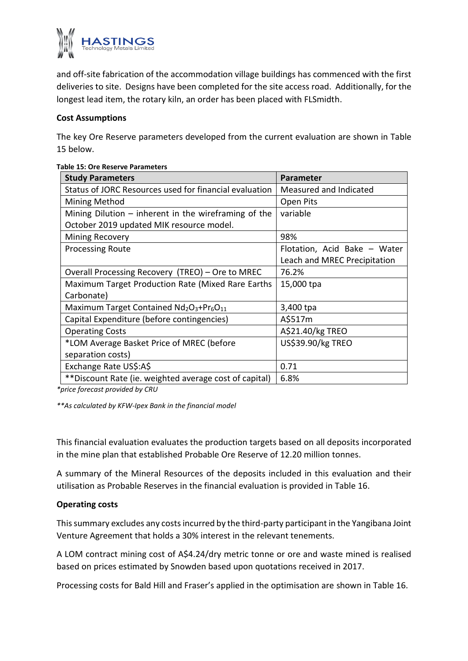

and off-site fabrication of the accommodation village buildings has commenced with the first deliveries to site. Designs have been completed for the site access road. Additionally, for the longest lead item, the rotary kiln, an order has been placed with FLSmidth.

## **Cost Assumptions**

The key Ore Reserve parameters developed from the current evaluation are shown in Table 15 below.

| <b>Study Parameters</b>                                | Parameter                    |  |
|--------------------------------------------------------|------------------------------|--|
| Status of JORC Resources used for financial evaluation | Measured and Indicated       |  |
| <b>Mining Method</b>                                   | Open Pits                    |  |
| Mining Dilution $-$ inherent in the wireframing of the | variable                     |  |
| October 2019 updated MIK resource model.               |                              |  |
| <b>Mining Recovery</b>                                 | 98%                          |  |
| <b>Processing Route</b>                                | Flotation, Acid Bake - Water |  |
|                                                        | Leach and MREC Precipitation |  |
| Overall Processing Recovery (TREO) – Ore to MREC       | 76.2%                        |  |
| Maximum Target Production Rate (Mixed Rare Earths      | 15,000 tpa                   |  |
| Carbonate)                                             |                              |  |
| Maximum Target Contained $Nd_2O_3+Pr_6O_{11}$          | 3,400 tpa                    |  |
| Capital Expenditure (before contingencies)             | A\$517m                      |  |
| <b>Operating Costs</b>                                 | A\$21.40/kg TREO             |  |
| *LOM Average Basket Price of MREC (before              | US\$39.90/kg TREO            |  |
| separation costs)                                      |                              |  |
| Exchange Rate US\$:A\$                                 | 0.71                         |  |
| **Discount Rate (ie. weighted average cost of capital) | 6.8%                         |  |

### **Table 15: Ore Reserve Parameters**

*\*price forecast provided by CRU*

*\*\*As calculated by KFW-Ipex Bank in the financial model*

This financial evaluation evaluates the production targets based on all deposits incorporated in the mine plan that established Probable Ore Reserve of 12.20 million tonnes.

A summary of the Mineral Resources of the deposits included in this evaluation and their utilisation as Probable Reserves in the financial evaluation is provided in Table 16.

## **Operating costs**

This summary excludes any costs incurred by the third-party participant in the Yangibana Joint Venture Agreement that holds a 30% interest in the relevant tenements.

A LOM contract mining cost of A\$4.24/dry metric tonne or ore and waste mined is realised based on prices estimated by Snowden based upon quotations received in 2017. Venture Agreement that holds a 30% interest in the relevant tenements.<br>A LOM contract mining cost of A\$4.24/dry metric tonne or ore and waste mined is realise<br>based on prices estimated by Snowden based upon quotations rece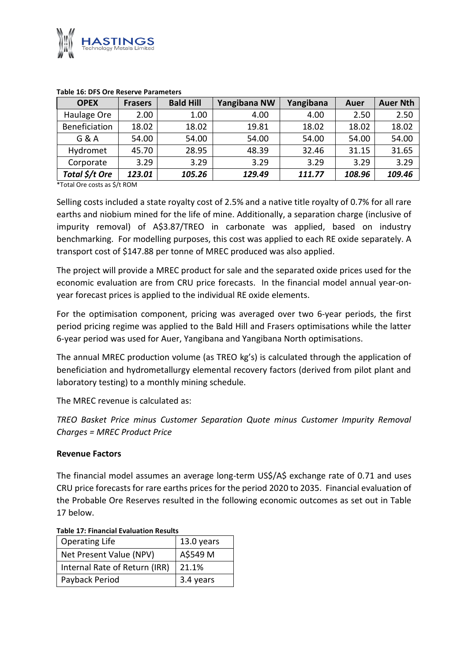

| <b>OPEX</b>    | <b>Frasers</b> | <b>Bald Hill</b> | Yangibana NW | Yangibana | Auer   | <b>Auer Nth</b> |
|----------------|----------------|------------------|--------------|-----------|--------|-----------------|
| Haulage Ore    | 2.00           | 1.00             | 4.00         | 4.00      | 2.50   | 2.50            |
| Beneficiation  | 18.02          | 18.02            | 19.81        | 18.02     | 18.02  | 18.02           |
| G & A          | 54.00          | 54.00            | 54.00        | 54.00     | 54.00  | 54.00           |
| Hydromet       | 45.70          | 28.95            | 48.39        | 32.46     | 31.15  | 31.65           |
| Corporate      | 3.29           | 3.29             | 3.29         | 3.29      | 3.29   | 3.29            |
| Total \$/t Ore | 123.01         | 105.26           | 129.49       | 111.77    | 108.96 | 109.46          |

#### **Table 16: DFS Ore Reserve Parameters**

\*Total Ore costs as \$/t ROM

Selling costs included a state royalty cost of 2.5% and a native title royalty of 0.7% for all rare earths and niobium mined for the life of mine. Additionally, a separation charge (inclusive of impurity removal) of A\$3.87/TREO in carbonate was applied, based on industry benchmarking. For modelling purposes, this cost was applied to each RE oxide separately. A transport cost of \$147.88 per tonne of MREC produced was also applied.

The project will provide a MREC product for sale and the separated oxide prices used for the economic evaluation are from CRU price forecasts. In the financial model annual year-onyear forecast prices is applied to the individual RE oxide elements.

For the optimisation component, pricing was averaged over two 6-year periods, the first period pricing regime was applied to the Bald Hill and Frasers optimisations while the latter 6-year period was used for Auer, Yangibana and Yangibana North optimisations.

The annual MREC production volume (as TREO kg's) is calculated through the application of beneficiation and hydrometallurgy elemental recovery factors (derived from pilot plant and laboratory testing) to a monthly mining schedule.

The MREC revenue is calculated as:

*TREO Basket Price minus Customer Separation Quote minus Customer Impurity Removal Charges = MREC Product Price*

#### **Revenue Factors**

The financial model assumes an average long-term US\$/A\$ exchange rate of 0.71 and uses CRU price forecasts for rare earths prices for the period 2020 to 2035. Financial evaluation of the Probable Ore Reserves resulted in the following economic outcomes as set out in Table 17 below.

| <b>Operating Life</b>         | 13.0 years |  |  |  |
|-------------------------------|------------|--|--|--|
| Net Present Value (NPV)       | A\$549 M   |  |  |  |
| Internal Rate of Return (IRR) | 21.1%      |  |  |  |
| Payback Period                | 3.4 years  |  |  |  |

#### **Table 17: Financial Evaluation Results**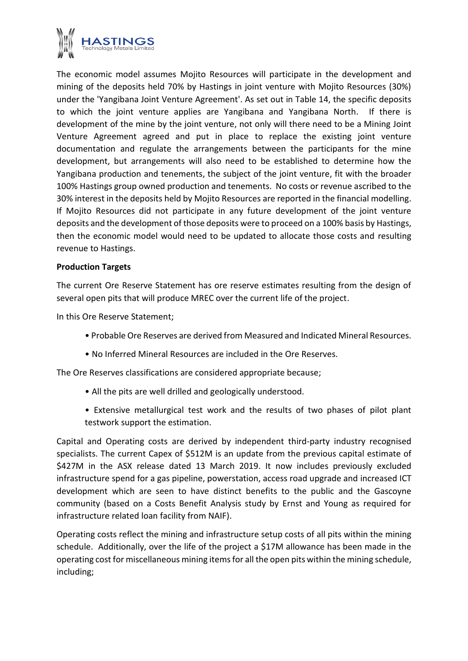

The economic model assumes Mojito Resources will participate in the development and mining of the deposits held 70% by Hastings in joint venture with Mojito Resources (30%) under the 'Yangibana Joint Venture Agreement'. As set out in Table 14, the specific deposits to which the joint venture applies are Yangibana and Yangibana North. If there is development of the mine by the joint venture, not only will there need to be a Mining Joint Venture Agreement agreed and put in place to replace the existing joint venture documentation and regulate the arrangements between the participants for the mine development, but arrangements will also need to be established to determine how the Yangibana production and tenements, the subject of the joint venture, fit with the broader 100% Hastings group owned production and tenements. No costs or revenue ascribed to the 30% interest in the deposits held by Mojito Resources are reported in the financial modelling. If Mojito Resources did not participate in any future development of the joint venture deposits and the development of those deposits were to proceed on a 100% basis by Hastings, then the economic model would need to be updated to allocate those costs and resulting revenue to Hastings.

## **Production Targets**

The current Ore Reserve Statement has ore reserve estimates resulting from the design of several open pits that will produce MREC over the current life of the project.

In this Ore Reserve Statement;

- Probable Ore Reserves are derived from Measured and Indicated Mineral Resources.
- No Inferred Mineral Resources are included in the Ore Reserves.

The Ore Reserves classifications are considered appropriate because;

- All the pits are well drilled and geologically understood.
- Extensive metallurgical test work and the results of two phases of pilot plant testwork support the estimation.

Capital and Operating costs are derived by independent third-party industry recognised specialists. The current Capex of \$512M is an update from the previous capital estimate of \$427M in the ASX release dated 13 March 2019. It now includes previously excluded infrastructure spend for a gas pipeline, powerstation, access road upgrade and increased ICT development which are seen to have distinct benefits to the public and the Gascoyne community (based on a Costs Benefit Analysis study by Ernst and Young as required for infrastructure related loan facility from NAIF).

Operating costs reflect the mining and infrastructure setup costs of all pits within the mining schedule. Additionally, over the life of the project a \$17M allowance has been made in the operating cost for miscellaneous mining items for all the open pits within the mining schedule, Operating<br>schedule.<br>operating<br>including;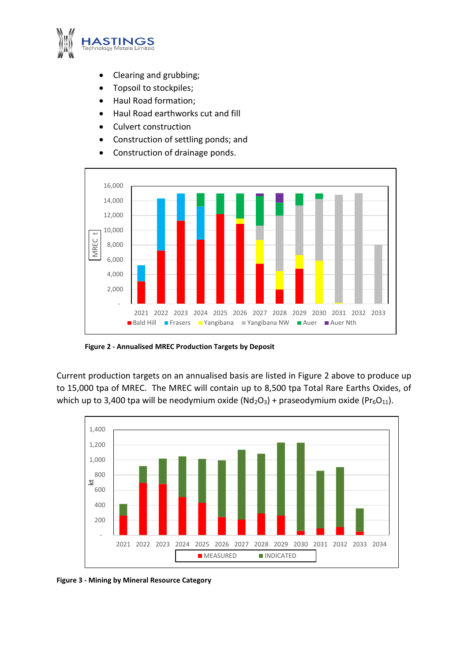

- Clearing and grubbing;
- Topsoil to stockpiles;
- Haul Road formation;
- Haul Road earthworks cut and fill
- Culvert construction
- Construction of settling ponds; and
- Construction of drainage ponds.



**Figure 2 - Annualised MREC Production Targets by Deposit**

Current production targets on an annualised basis are listed in Figure 2 above to produce up to 15,000 tpa of MREC. The MREC will contain up to 8,500 tpa Total Rare Earths Oxides, of which up to 3,400 tpa will be neodymium oxide  $(Nd_2O_3)$  + praseodymium oxide (Pr $_6O_{11}$ ).



**Figure 3 - Mining by Mineral Resource Category**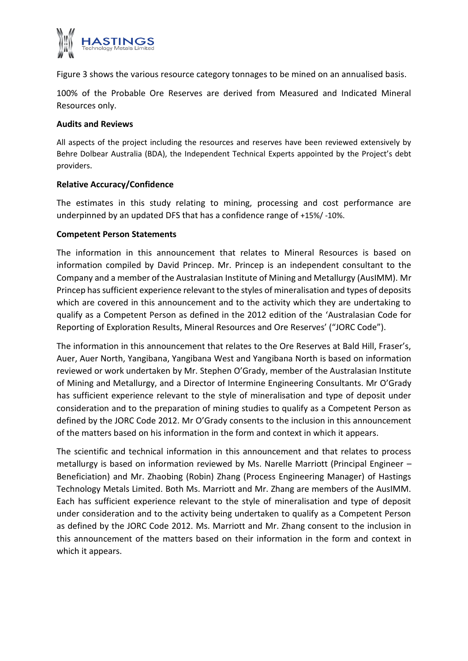

Figure 3 shows the various resource category tonnages to be mined on an annualised basis.

100% of the Probable Ore Reserves are derived from Measured and Indicated Mineral Resources only.

## **Audits and Reviews**

All aspects of the project including the resources and reserves have been reviewed extensively by Behre Dolbear Australia (BDA), the Independent Technical Experts appointed by the Project's debt providers.

## **Relative Accuracy/Confidence**

The estimates in this study relating to mining, processing and cost performance are underpinned by an updated DFS that has a confidence range of +15%/ -10%.

## **Competent Person Statements**

The information in this announcement that relates to Mineral Resources is based on information compiled by David Princep. Mr. Princep is an independent consultant to the Company and a member of the Australasian Institute of Mining and Metallurgy (AusIMM). Mr Princep has sufficient experience relevant to the styles of mineralisation and types of deposits which are covered in this announcement and to the activity which they are undertaking to qualify as a Competent Person as defined in the 2012 edition of the 'Australasian Code for Reporting of Exploration Results, Mineral Resources and Ore Reserves' ("JORC Code").

The information in this announcement that relates to the Ore Reserves at Bald Hill, Fraser's, Auer, Auer North, Yangibana, Yangibana West and Yangibana North is based on information reviewed or work undertaken by Mr. Stephen O'Grady, member of the Australasian Institute of Mining and Metallurgy, and a Director of Intermine Engineering Consultants. Mr O'Grady has sufficient experience relevant to the style of mineralisation and type of deposit under consideration and to the preparation of mining studies to qualify as a Competent Person as defined by the JORC Code 2012. Mr O'Grady consents to the inclusion in this announcement of the matters based on his information in the form and context in which it appears.

The scientific and technical information in this announcement and that relates to process metallurgy is based on information reviewed by Ms. Narelle Marriott (Principal Engineer – Beneficiation) and Mr. Zhaobing (Robin) Zhang (Process Engineering Manager) of Hastings Technology Metals Limited. Both Ms. Marriott and Mr. Zhang are members of the AusIMM. Each has sufficient experience relevant to the style of mineralisation and type of deposit under consideration and to the activity being undertaken to qualify as a Competent Person as defined by the JORC Code 2012. Ms. Marriott and Mr. Zhang consent to the inclusion in this announcement of the matters based on their information in the form and context in which it appears.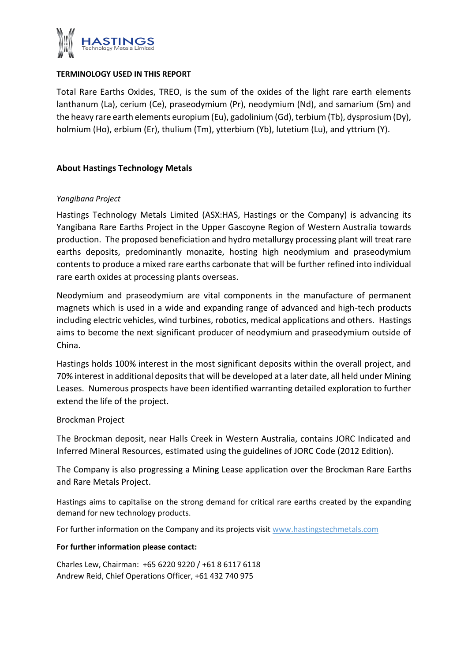

## **TERMINOLOGY USED IN THIS REPORT**

Total Rare Earths Oxides, TREO, is the sum of the oxides of the light rare earth elements lanthanum (La), cerium (Ce), praseodymium (Pr), neodymium (Nd), and samarium (Sm) and the heavy rare earth elements europium (Eu), gadolinium (Gd), terbium (Tb), dysprosium (Dy), holmium (Ho), erbium (Er), thulium (Tm), ytterbium (Yb), lutetium (Lu), and yttrium (Y).

## **About Hastings Technology Metals**

## *Yangibana Project*

Hastings Technology Metals Limited (ASX:HAS, Hastings or the Company) is advancing its Yangibana Rare Earths Project in the Upper Gascoyne Region of Western Australia towards production. The proposed beneficiation and hydro metallurgy processing plant will treat rare earths deposits, predominantly monazite, hosting high neodymium and praseodymium contents to produce a mixed rare earths carbonate that will be further refined into individual rare earth oxides at processing plants overseas.

Neodymium and praseodymium are vital components in the manufacture of permanent magnets which is used in a wide and expanding range of advanced and high-tech products including electric vehicles, wind turbines, robotics, medical applications and others. Hastings aims to become the next significant producer of neodymium and praseodymium outside of China.

Hastings holds 100% interest in the most significant deposits within the overall project, and 70% interest in additional deposits that will be developed at a later date, all held under Mining Leases. Numerous prospects have been identified warranting detailed exploration to further extend the life of the project.

## Brockman Project

The Brockman deposit, near Halls Creek in Western Australia, contains JORC Indicated and Inferred Mineral Resources, estimated using the guidelines of JORC Code (2012 Edition).

The Company is also progressing a Mining Lease application over the Brockman Rare Earths and Rare Metals Project.

Hastings aims to capitalise on the strong demand for critical rare earths created by the expanding demand for new technology products.

For further information on the Company and its projects visit www.hastingstechmetals.com

#### **For further information please contact:**

Charles Lew, Chairman: +65 6220 9220 / +61 8 6117 6118 Andrew Reid, Chief Operations Officer, +61 432 740 975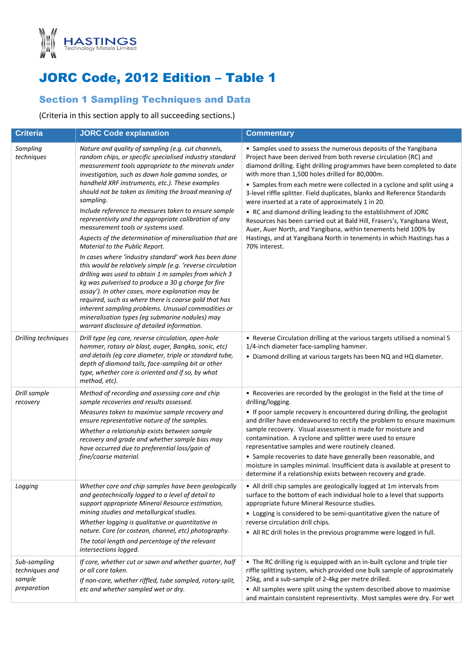

# JORC Code, 2012 Edition – Table 1

## Section 1 Sampling Techniques and Data

(Criteria in this section apply to all succeeding sections.)

| <b>Criteria</b>                                         | <b>JORC Code explanation</b>                                                                                                                                                                                                                                                                                                                                                                                                                                                                                                                                                                                                                                                                                                                                                                                                                                                                                                                                                                                                                                                                                     | <b>Commentary</b>                                                                                                                                                                                                                                                                                                                                                                                                                                                                                                                                                                                                                                                                                                                                                                       |
|---------------------------------------------------------|------------------------------------------------------------------------------------------------------------------------------------------------------------------------------------------------------------------------------------------------------------------------------------------------------------------------------------------------------------------------------------------------------------------------------------------------------------------------------------------------------------------------------------------------------------------------------------------------------------------------------------------------------------------------------------------------------------------------------------------------------------------------------------------------------------------------------------------------------------------------------------------------------------------------------------------------------------------------------------------------------------------------------------------------------------------------------------------------------------------|-----------------------------------------------------------------------------------------------------------------------------------------------------------------------------------------------------------------------------------------------------------------------------------------------------------------------------------------------------------------------------------------------------------------------------------------------------------------------------------------------------------------------------------------------------------------------------------------------------------------------------------------------------------------------------------------------------------------------------------------------------------------------------------------|
| Sampling<br>techniques                                  | Nature and quality of sampling (e.g. cut channels,<br>random chips, or specific specialised industry standard<br>measurement tools appropriate to the minerals under<br>investigation, such as down hole gamma sondes, or<br>handheld XRF instruments, etc.). These examples<br>should not be taken as limiting the broad meaning of<br>sampling.<br>Include reference to measures taken to ensure sample<br>representivity and the appropriate calibration of any<br>measurement tools or systems used.<br>Aspects of the determination of mineralisation that are<br>Material to the Public Report.<br>In cases where 'industry standard' work has been done<br>this would be relatively simple (e.g. 'reverse circulation<br>drilling was used to obtain 1 m samples from which 3<br>kg was pulverised to produce a 30 g charge for fire<br>assay'). In other cases, more explanation may be<br>required, such as where there is coarse gold that has<br>inherent sampling problems. Unusual commodities or<br>mineralisation types (eg submarine nodules) may<br>warrant disclosure of detailed information. | • Samples used to assess the numerous deposits of the Yangibana<br>Project have been derived from both reverse circulation (RC) and<br>diamond drilling. Eight drilling programmes have been completed to date<br>with more than 1,500 holes drilled for 80,000m.<br>• Samples from each metre were collected in a cyclone and split using a<br>3-level riffle splitter. Field duplicates, blanks and Reference Standards<br>were inserted at a rate of approximately 1 in 20.<br>• RC and diamond drilling leading to the establishment of JORC<br>Resources has been carried out at Bald Hill, Frasers's, Yangibana West,<br>Auer, Auer North, and Yangibana, within tenements held 100% by<br>Hastings, and at Yangibana North in tenements in which Hastings has a<br>70% interest. |
| Drilling techniques                                     | Drill type (eg core, reverse circulation, open-hole<br>hammer, rotary air blast, auger, Bangka, sonic, etc)<br>and details (eg core diameter, triple or standard tube,<br>depth of diamond tails, face-sampling bit or other<br>type, whether core is oriented and if so, by what<br>method, etc).                                                                                                                                                                                                                                                                                                                                                                                                                                                                                                                                                                                                                                                                                                                                                                                                               | • Reverse Circulation drilling at the various targets utilised a nominal 5<br>1/4-inch diameter face-sampling hammer.<br>• Diamond drilling at various targets has been NQ and HQ diameter.                                                                                                                                                                                                                                                                                                                                                                                                                                                                                                                                                                                             |
| Drill sample<br>recovery                                | Method of recording and assessing core and chip<br>sample recoveries and results assessed.<br>Measures taken to maximise sample recovery and<br>ensure representative nature of the samples.<br>Whether a relationship exists between sample<br>recovery and grade and whether sample bias may<br>have occurred due to preferential loss/gain of<br>fine/coarse material.                                                                                                                                                                                                                                                                                                                                                                                                                                                                                                                                                                                                                                                                                                                                        | • Recoveries are recorded by the geologist in the field at the time of<br>drilling/logging.<br>• If poor sample recovery is encountered during drilling, the geologist<br>and driller have endeavoured to rectify the problem to ensure maximum<br>sample recovery. Visual assessment is made for moisture and<br>contamination. A cyclone and splitter were used to ensure<br>representative samples and were routinely cleaned.<br>• Sample recoveries to date have generally been reasonable, and<br>moisture in samples minimal. Insufficient data is available at present to<br>determine if a relationship exists between recovery and grade.                                                                                                                                     |
| Logging                                                 | Whether core and chip samples have been geologically<br>and geotechnically logged to a level of detail to<br>support appropriate Mineral Resource estimation,<br>mining studies and metallurgical studies.<br>Whether logging is qualitative or quantitative in<br>nature. Core (or costean, channel, etc) photography.<br>The total length and percentage of the relevant<br>intersections logged.                                                                                                                                                                                                                                                                                                                                                                                                                                                                                                                                                                                                                                                                                                              | • All drill chip samples are geologically logged at 1m intervals from<br>surface to the bottom of each individual hole to a level that supports<br>appropriate future Mineral Resource studies.<br>• Logging is considered to be semi-quantitative given the nature of<br>reverse circulation drill chips.<br>• All RC drill holes in the previous programme were logged in full.                                                                                                                                                                                                                                                                                                                                                                                                       |
| Sub-sampling<br>techniques and<br>sample<br>preparation | If core, whether cut or sawn and whether quarter, half<br>or all core taken.<br>If non-core, whether riffled, tube sampled, rotary split,<br>etc and whether sampled wet or dry.                                                                                                                                                                                                                                                                                                                                                                                                                                                                                                                                                                                                                                                                                                                                                                                                                                                                                                                                 | • The RC drilling rig is equipped with an in-built cyclone and triple tier<br>riffle splitting system, which provided one bulk sample of approximately<br>25kg, and a sub-sample of 2-4kg per metre drilled.<br>• All samples were split using the system described above to maximise<br>and maintain consistent representivity. Most samples were dry. For wet                                                                                                                                                                                                                                                                                                                                                                                                                         |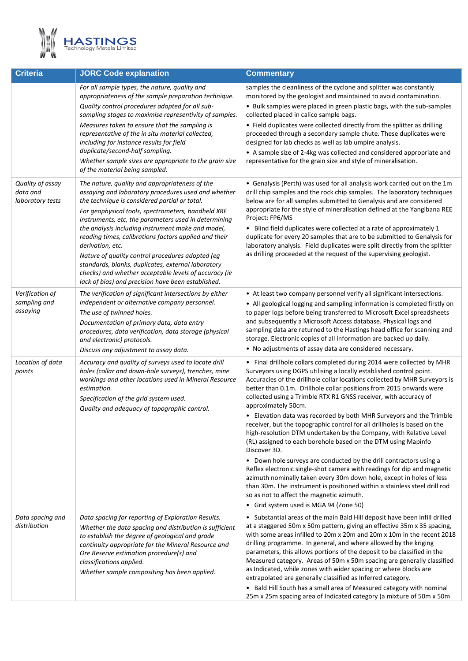

| <b>Criteria</b>                                  | <b>JORC Code explanation</b>                                                                                                                                                                                                                                                                                                                                                                                                                                                                                                                                                                                                    | <b>Commentary</b>                                                                                                                                                                                                                                                                                                                                                                                                                                                                                                                                                                                                                                                                                                                                                                                                                                                                                                                                                                                                                                                                                   |
|--------------------------------------------------|---------------------------------------------------------------------------------------------------------------------------------------------------------------------------------------------------------------------------------------------------------------------------------------------------------------------------------------------------------------------------------------------------------------------------------------------------------------------------------------------------------------------------------------------------------------------------------------------------------------------------------|-----------------------------------------------------------------------------------------------------------------------------------------------------------------------------------------------------------------------------------------------------------------------------------------------------------------------------------------------------------------------------------------------------------------------------------------------------------------------------------------------------------------------------------------------------------------------------------------------------------------------------------------------------------------------------------------------------------------------------------------------------------------------------------------------------------------------------------------------------------------------------------------------------------------------------------------------------------------------------------------------------------------------------------------------------------------------------------------------------|
|                                                  | For all sample types, the nature, quality and<br>appropriateness of the sample preparation technique.<br>Quality control procedures adopted for all sub-<br>sampling stages to maximise representivity of samples.<br>Measures taken to ensure that the sampling is<br>representative of the in situ material collected,<br>including for instance results for field<br>duplicate/second-half sampling.<br>Whether sample sizes are appropriate to the grain size<br>of the material being sampled.                                                                                                                             | samples the cleanliness of the cyclone and splitter was constantly<br>monitored by the geologist and maintained to avoid contamination.<br>• Bulk samples were placed in green plastic bags, with the sub-samples<br>collected placed in calico sample bags.<br>• Field duplicates were collected directly from the splitter as drilling<br>proceeded through a secondary sample chute. These duplicates were<br>designed for lab checks as well as lab umpire analysis.<br>• A sample size of 2-4kg was collected and considered appropriate and<br>representative for the grain size and style of mineralisation.                                                                                                                                                                                                                                                                                                                                                                                                                                                                                 |
| Quality of assay<br>data and<br>laboratory tests | The nature, quality and appropriateness of the<br>assaying and laboratory procedures used and whether<br>the technique is considered partial or total.<br>For geophysical tools, spectrometers, handheld XRF<br>instruments, etc, the parameters used in determining<br>the analysis including instrument make and model,<br>reading times, calibrations factors applied and their<br>derivation, etc.<br>Nature of quality control procedures adopted (eg<br>standards, blanks, duplicates, external laboratory<br>checks) and whether acceptable levels of accuracy (ie<br>lack of bias) and precision have been established. | • Genalysis (Perth) was used for all analysis work carried out on the 1m<br>drill chip samples and the rock chip samples. The laboratory techniques<br>below are for all samples submitted to Genalysis and are considered<br>appropriate for the style of mineralisation defined at the Yangibana REE<br>Project: FP6/MS<br>• Blind field duplicates were collected at a rate of approximately 1<br>duplicate for every 20 samples that are to be submitted to Genalysis for<br>laboratory analysis. Field duplicates were split directly from the splitter<br>as drilling proceeded at the request of the supervising geologist.                                                                                                                                                                                                                                                                                                                                                                                                                                                                  |
| Verification of<br>sampling and<br>assaying      | The verification of significant intersections by either<br>independent or alternative company personnel.<br>The use of twinned holes.<br>Documentation of primary data, data entry<br>procedures, data verification, data storage (physical<br>and electronic) protocols.<br>Discuss any adjustment to assay data.                                                                                                                                                                                                                                                                                                              | • At least two company personnel verify all significant intersections.<br>• All geological logging and sampling information is completed firstly on<br>to paper logs before being transferred to Microsoft Excel spreadsheets<br>and subsequently a Microsoft Access database. Physical logs and<br>sampling data are returned to the Hastings head office for scanning and<br>storage. Electronic copies of all information are backed up daily.<br>• No adjustments of assay data are considered necessary.                                                                                                                                                                                                                                                                                                                                                                                                                                                                                                                                                                                       |
| Location of data<br>points                       | Accuracy and quality of surveys used to locate drill<br>holes (collar and down-hole surveys), trenches, mine<br>workings and other locations used in Mineral Resource<br>estimation.<br>Specification of the grid system used.<br>Quality and adequacy of topographic control.                                                                                                                                                                                                                                                                                                                                                  | • Final drillhole collars completed during 2014 were collected by MHR<br>Surveyors using DGPS utilising a locally established control point.<br>Accuracies of the drillhole collar locations collected by MHR Surveyors is<br>better than 0.1m. Drillhole collar positions from 2015 onwards were<br>collected using a Trimble RTX R1 GNSS receiver, with accuracy of<br>approximately 50cm.<br>• Elevation data was recorded by both MHR Surveyors and the Trimble<br>receiver, but the topographic control for all drillholes is based on the<br>high-resolution DTM undertaken by the Company, with Relative Level<br>(RL) assigned to each borehole based on the DTM using Mapinfo<br>Discover 3D.<br>• Down hole surveys are conducted by the drill contractors using a<br>Reflex electronic single-shot camera with readings for dip and magnetic<br>azimuth nominally taken every 30m down hole, except in holes of less<br>than 30m. The instrument is positioned within a stainless steel drill rod<br>so as not to affect the magnetic azimuth.<br>• Grid system used is MGA 94 (Zone 50) |
| Data spacing and<br>distribution                 | Data spacing for reporting of Exploration Results.<br>Whether the data spacing and distribution is sufficient<br>to establish the degree of geological and grade<br>continuity appropriate for the Mineral Resource and<br>Ore Reserve estimation procedure(s) and<br>classifications applied.<br>Whether sample compositing has been applied.                                                                                                                                                                                                                                                                                  | • Substantial areas of the main Bald Hill deposit have been infill drilled<br>at a staggered 50m x 50m pattern, giving an effective 35m x 35 spacing,<br>with some areas infilled to 20m x 20m and 20m x 10m in the recent 2018<br>drilling programme. In general, and where allowed by the kriging<br>parameters, this allows portions of the deposit to be classified in the<br>Measured category. Areas of 50m x 50m spacing are generally classified<br>as Indicated, while zones with wider spacing or where blocks are<br>extrapolated are generally classified as Inferred category.<br>• Bald Hill South has a small area of Measured category with nominal<br>25m x 25m spacing area of Indicated category (a mixture of 50m x 50m                                                                                                                                                                                                                                                                                                                                                         |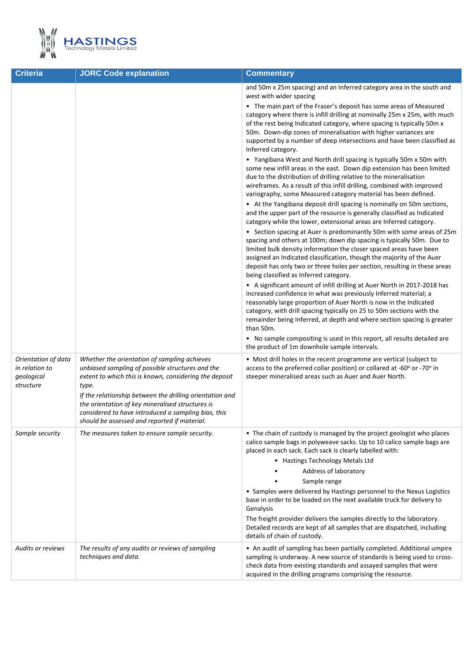

| <b>Criteria</b>                                                  | <b>JORC Code explanation</b><br><b>Commentary</b>                                                                                                                                                                                                                                                                                                                                          |                                                                                                                                                                                                                                                                                                                                                                                                                                                                                                                                                                                                                                                                                                                                                                                                                                                                                                                                                                                                                                                                                                                                                                                                                                                                                                                                                                                                                                                                                                                                                                                                                                                                                                                                                                                                                                                                                                                                                                                                                                             |  |
|------------------------------------------------------------------|--------------------------------------------------------------------------------------------------------------------------------------------------------------------------------------------------------------------------------------------------------------------------------------------------------------------------------------------------------------------------------------------|---------------------------------------------------------------------------------------------------------------------------------------------------------------------------------------------------------------------------------------------------------------------------------------------------------------------------------------------------------------------------------------------------------------------------------------------------------------------------------------------------------------------------------------------------------------------------------------------------------------------------------------------------------------------------------------------------------------------------------------------------------------------------------------------------------------------------------------------------------------------------------------------------------------------------------------------------------------------------------------------------------------------------------------------------------------------------------------------------------------------------------------------------------------------------------------------------------------------------------------------------------------------------------------------------------------------------------------------------------------------------------------------------------------------------------------------------------------------------------------------------------------------------------------------------------------------------------------------------------------------------------------------------------------------------------------------------------------------------------------------------------------------------------------------------------------------------------------------------------------------------------------------------------------------------------------------------------------------------------------------------------------------------------------------|--|
|                                                                  |                                                                                                                                                                                                                                                                                                                                                                                            | and 50m x 25m spacing) and an Inferred category area in the south and<br>west with wider spacing<br>• The main part of the Fraser's deposit has some areas of Measured<br>category where there is infill drilling at nominally 25m x 25m, with much<br>of the rest being Indicated category, where spacing is typically 50m x<br>50m. Down-dip zones of mineralisation with higher variances are<br>supported by a number of deep intersections and have been classified as<br>Inferred category.<br>• Yangibana West and North drill spacing is typically 50m x 50m with<br>some new infill areas in the east. Down dip extension has been limited<br>due to the distribution of drilling relative to the mineralisation<br>wireframes. As a result of this infill drilling, combined with improved<br>variography, some Measured category material has been defined.<br>• At the Yangibana deposit drill spacing is nominally on 50m sections,<br>and the upper part of the resource is generally classified as Indicated<br>category while the lower, extensional areas are Inferred category.<br>• Section spacing at Auer is predominantly 50m with some areas of 25m<br>spacing and others at 100m; down dip spacing is typically 50m. Due to<br>limited bulk density information the closer spaced areas have been<br>assigned an Indicated classification, though the majority of the Auer<br>deposit has only two or three holes per section, resulting in these areas<br>being classified as Inferred category.<br>• A significant amount of infill drilling at Auer North in 2017-2018 has<br>increased confidence in what was previously Inferred material; a<br>reasonably large proportion of Auer North is now in the Indicated<br>category, with drill spacing typically on 25 to 50m sections with the<br>remainder being Inferred, at depth and where section spacing is greater<br>than 50m.<br>• No sample compositing is used in this report, all results detailed are<br>the product of 1m downhole sample intervals. |  |
| Orientation of data<br>in relation to<br>geological<br>structure | Whether the orientation of sampling achieves<br>unbiased sampling of possible structures and the<br>extent to which this is known, considering the deposit<br>type.<br>If the relationship between the drilling orientation and<br>the orientation of key mineralised structures is<br>considered to have introduced a sampling bias, this<br>should be assessed and reported if material. | • Most drill holes in the recent programme are vertical (subject to<br>access to the preferred collar position) or collared at -60° or -70° in<br>steeper mineralised areas such as Auer and Auer North.                                                                                                                                                                                                                                                                                                                                                                                                                                                                                                                                                                                                                                                                                                                                                                                                                                                                                                                                                                                                                                                                                                                                                                                                                                                                                                                                                                                                                                                                                                                                                                                                                                                                                                                                                                                                                                    |  |
| Sample security                                                  | The measures taken to ensure sample security.                                                                                                                                                                                                                                                                                                                                              | • The chain of custody is managed by the project geologist who places<br>calico sample bags in polyweave sacks. Up to 10 calico sample bags are<br>placed in each sack. Each sack is clearly labelled with:<br>• Hastings Technology Metals Ltd<br>Address of laboratory<br>Sample range<br>• Samples were delivered by Hastings personnel to the Nexus Logistics<br>base in order to be loaded on the next available truck for delivery to<br>Genalysis<br>The freight provider delivers the samples directly to the laboratory.<br>Detailed records are kept of all samples that are dispatched, including<br>details of chain of custody.                                                                                                                                                                                                                                                                                                                                                                                                                                                                                                                                                                                                                                                                                                                                                                                                                                                                                                                                                                                                                                                                                                                                                                                                                                                                                                                                                                                                |  |
| <b>Audits or reviews</b>                                         | The results of any audits or reviews of sampling<br>techniques and data.                                                                                                                                                                                                                                                                                                                   | • An audit of sampling has been partially completed. Additional umpire<br>sampling is underway. A new source of standards is being used to cross-<br>check data from existing standards and assayed samples that were<br>acquired in the drilling programs comprising the resource.                                                                                                                                                                                                                                                                                                                                                                                                                                                                                                                                                                                                                                                                                                                                                                                                                                                                                                                                                                                                                                                                                                                                                                                                                                                                                                                                                                                                                                                                                                                                                                                                                                                                                                                                                         |  |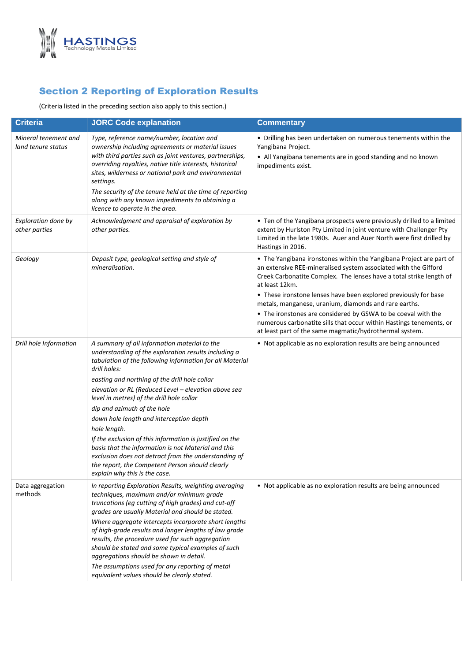

## Section 2 Reporting of Exploration Results

(Criteria listed in the preceding section also apply to this section.)

| <b>Criteria</b>                            | <b>JORC Code explanation</b>                                                                                                                                                                                                                                                                                                                                                                                                                                                                                                                                                                                                                                                                    | <b>Commentary</b>                                                                                                                                                                                                                                                                                                                                                                                                                                                                                                                                              |
|--------------------------------------------|-------------------------------------------------------------------------------------------------------------------------------------------------------------------------------------------------------------------------------------------------------------------------------------------------------------------------------------------------------------------------------------------------------------------------------------------------------------------------------------------------------------------------------------------------------------------------------------------------------------------------------------------------------------------------------------------------|----------------------------------------------------------------------------------------------------------------------------------------------------------------------------------------------------------------------------------------------------------------------------------------------------------------------------------------------------------------------------------------------------------------------------------------------------------------------------------------------------------------------------------------------------------------|
| Mineral tenement and<br>land tenure status | Type, reference name/number, location and<br>ownership including agreements or material issues<br>with third parties such as joint ventures, partnerships,<br>overriding royalties, native title interests, historical<br>sites, wilderness or national park and environmental<br>settings.<br>The security of the tenure held at the time of reporting<br>along with any known impediments to obtaining a<br>licence to operate in the area.                                                                                                                                                                                                                                                   | • Drilling has been undertaken on numerous tenements within the<br>Yangibana Project.<br>• All Yangibana tenements are in good standing and no known<br>impediments exist.                                                                                                                                                                                                                                                                                                                                                                                     |
| Exploration done by<br>other parties       | Acknowledgment and appraisal of exploration by<br>other parties.                                                                                                                                                                                                                                                                                                                                                                                                                                                                                                                                                                                                                                | • Ten of the Yangibana prospects were previously drilled to a limited<br>extent by Hurlston Pty Limited in joint venture with Challenger Pty<br>Limited in the late 1980s. Auer and Auer North were first drilled by<br>Hastings in 2016.                                                                                                                                                                                                                                                                                                                      |
| Geology                                    | Deposit type, geological setting and style of<br>mineralisation.                                                                                                                                                                                                                                                                                                                                                                                                                                                                                                                                                                                                                                | • The Yangibana ironstones within the Yangibana Project are part of<br>an extensive REE-mineralised system associated with the Gifford<br>Creek Carbonatite Complex. The lenses have a total strike length of<br>at least 12km.<br>• These ironstone lenses have been explored previously for base<br>metals, manganese, uranium, diamonds and rare earths.<br>• The ironstones are considered by GSWA to be coeval with the<br>numerous carbonatite sills that occur within Hastings tenements, or<br>at least part of the same magmatic/hydrothermal system. |
| Drill hole Information                     | A summary of all information material to the<br>understanding of the exploration results including a<br>tabulation of the following information for all Material<br>drill holes:<br>easting and northing of the drill hole collar<br>elevation or RL (Reduced Level - elevation above sea<br>level in metres) of the drill hole collar<br>dip and azimuth of the hole<br>down hole length and interception depth<br>hole length.<br>If the exclusion of this information is justified on the<br>basis that the information is not Material and this<br>exclusion does not detract from the understanding of<br>the report, the Competent Person should clearly<br>explain why this is the case. | • Not applicable as no exploration results are being announced                                                                                                                                                                                                                                                                                                                                                                                                                                                                                                 |
| Data aggregation<br>methods                | In reporting Exploration Results, weighting averaging<br>techniques, maximum and/or minimum grade<br>truncations (eg cutting of high grades) and cut-off<br>grades are usually Material and should be stated.<br>Where aggregate intercepts incorporate short lengths<br>of high-grade results and longer lengths of low grade<br>results, the procedure used for such aggregation<br>should be stated and some typical examples of such<br>aggregations should be shown in detail.<br>The assumptions used for any reporting of metal<br>equivalent values should be clearly stated.                                                                                                           | • Not applicable as no exploration results are being announced                                                                                                                                                                                                                                                                                                                                                                                                                                                                                                 |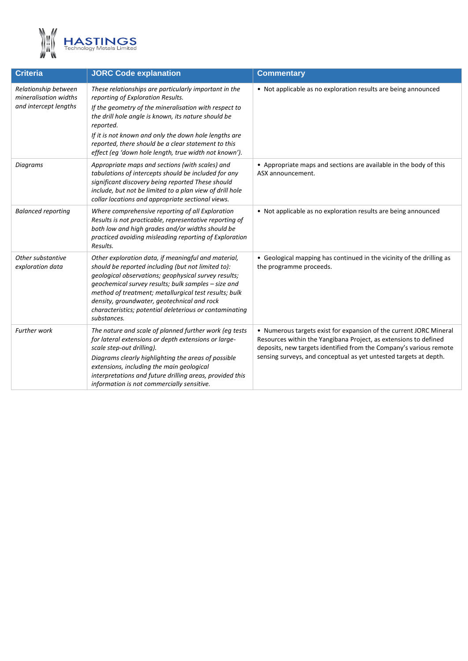

| <b>JORC Code explanation</b>                                                                                                                                                                                                                                                                                                                                                                               | <b>Commentary</b>                                                                                                                                                                                                                                                                 |  |  |
|------------------------------------------------------------------------------------------------------------------------------------------------------------------------------------------------------------------------------------------------------------------------------------------------------------------------------------------------------------------------------------------------------------|-----------------------------------------------------------------------------------------------------------------------------------------------------------------------------------------------------------------------------------------------------------------------------------|--|--|
| These relationships are particularly important in the<br>reporting of Exploration Results.<br>If the geometry of the mineralisation with respect to<br>the drill hole angle is known, its nature should be<br>reported.<br>If it is not known and only the down hole lengths are<br>reported, there should be a clear statement to this<br>effect (eg 'down hole length, true width not known').           | • Not applicable as no exploration results are being announced                                                                                                                                                                                                                    |  |  |
| Appropriate maps and sections (with scales) and<br>tabulations of intercepts should be included for any<br>significant discovery being reported These should<br>include, but not be limited to a plan view of drill hole<br>collar locations and appropriate sectional views.                                                                                                                              | • Appropriate maps and sections are available in the body of this<br>ASX announcement.                                                                                                                                                                                            |  |  |
| Where comprehensive reporting of all Exploration<br>Results is not practicable, representative reporting of<br>both low and high grades and/or widths should be<br>practiced avoiding misleading reporting of Exploration<br>Results.                                                                                                                                                                      | • Not applicable as no exploration results are being announced                                                                                                                                                                                                                    |  |  |
| Other exploration data, if meaningful and material,<br>should be reported including (but not limited to):<br>geological observations; geophysical survey results;<br>geochemical survey results; bulk samples - size and<br>method of treatment; metallurgical test results; bulk<br>density, groundwater, geotechnical and rock<br>characteristics; potential deleterious or contaminating<br>substances. | • Geological mapping has continued in the vicinity of the drilling as<br>the programme proceeds.                                                                                                                                                                                  |  |  |
| The nature and scale of planned further work (eg tests<br>for lateral extensions or depth extensions or large-<br>scale step-out drilling).<br>Diagrams clearly highlighting the areas of possible<br>extensions, including the main geological<br>interpretations and future drilling areas, provided this<br>information is not commercially sensitive.                                                  | • Numerous targets exist for expansion of the current JORC Mineral<br>Resources within the Yangibana Project, as extensions to defined<br>deposits, new targets identified from the Company's various remote<br>sensing surveys, and conceptual as yet untested targets at depth. |  |  |
|                                                                                                                                                                                                                                                                                                                                                                                                            |                                                                                                                                                                                                                                                                                   |  |  |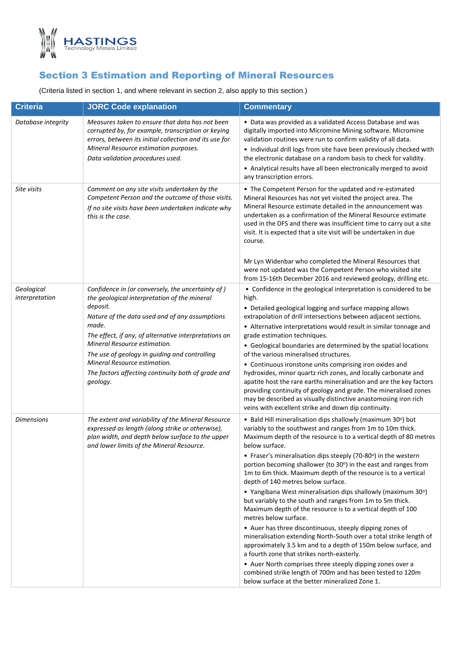

# Section 3 Estimation and Reporting of Mineral Resources

(Criteria listed in section 1, and where relevant in section 2, also apply to this section.)

| <b>Criteria</b>              | <b>JORC Code explanation</b>                                                                                                                                                                                                                                                                                                                                                                                         | <b>Commentary</b>                                                                                                                                                                                                                                                                                                                                                                                                                                                                                                                                                                                                                                                                                                                                                                                                                                                                                                                                                                                                                                                                                                  |
|------------------------------|----------------------------------------------------------------------------------------------------------------------------------------------------------------------------------------------------------------------------------------------------------------------------------------------------------------------------------------------------------------------------------------------------------------------|--------------------------------------------------------------------------------------------------------------------------------------------------------------------------------------------------------------------------------------------------------------------------------------------------------------------------------------------------------------------------------------------------------------------------------------------------------------------------------------------------------------------------------------------------------------------------------------------------------------------------------------------------------------------------------------------------------------------------------------------------------------------------------------------------------------------------------------------------------------------------------------------------------------------------------------------------------------------------------------------------------------------------------------------------------------------------------------------------------------------|
| Database integrity           | Measures taken to ensure that data has not been<br>corrupted by, for example, transcription or keying<br>errors, between its initial collection and its use for<br>Mineral Resource estimation purposes.<br>Data validation procedures used.                                                                                                                                                                         | • Data was provided as a validated Access Database and was<br>digitally imported into Micromine Mining software. Micromine<br>validation routines were run to confirm validity of all data.<br>• Individual drill logs from site have been previously checked with<br>the electronic database on a random basis to check for validity.<br>• Analytical results have all been electronically merged to avoid<br>any transcription errors.                                                                                                                                                                                                                                                                                                                                                                                                                                                                                                                                                                                                                                                                           |
| Site visits                  | Comment on any site visits undertaken by the<br>Competent Person and the outcome of those visits.<br>If no site visits have been undertaken indicate why<br>this is the case.                                                                                                                                                                                                                                        | • The Competent Person for the updated and re-estimated<br>Mineral Resources has not yet visited the project area. The<br>Mineral Resource estimate detailed in the announcement was<br>undertaken as a confirmation of the Mineral Resource estimate<br>used in the DFS and there was insufficient time to carry out a site<br>visit. It is expected that a site visit will be undertaken in due<br>course.<br>Mr Lyn Widenbar who completed the Mineral Resources that<br>were not updated was the Competent Person who visited site<br>from 15-16th December 2016 and reviewed geology, drilling etc.                                                                                                                                                                                                                                                                                                                                                                                                                                                                                                           |
| Geological<br>interpretation | Confidence in (or conversely, the uncertainty of)<br>the geological interpretation of the mineral<br>deposit.<br>Nature of the data used and of any assumptions<br>made.<br>The effect, if any, of alternative interpretations on<br>Mineral Resource estimation.<br>The use of geology in guiding and controlling<br>Mineral Resource estimation.<br>The factors affecting continuity both of grade and<br>geology. | • Confidence in the geological interpretation is considered to be<br>high.<br>• Detailed geological logging and surface mapping allows<br>extrapolation of drill intersections between adjacent sections.<br>• Alternative interpretations would result in similar tonnage and<br>grade estimation techniques.<br>• Geological boundaries are determined by the spatial locations<br>of the various mineralised structures.<br>• Continuous ironstone units comprising iron oxides and<br>hydroxides, minor quartz rich zones, and locally carbonate and<br>apatite host the rare earths mineralisation and are the key factors<br>providing continuity of geology and grade. The mineralised zones<br>may be described as visually distinctive anastomosing iron rich<br>veins with excellent strike and down dip continuity.                                                                                                                                                                                                                                                                                     |
| <b>Dimensions</b>            | The extent and variability of the Mineral Resource<br>expressed as length (along strike or otherwise),<br>plan width, and depth below surface to the upper<br>and lower limits of the Mineral Resource.                                                                                                                                                                                                              | • Bald Hill mineralisation dips shallowly (maximum 30°) but<br>variably to the southwest and ranges from 1m to 10m thick.<br>Maximum depth of the resource is to a vertical depth of 80 metres<br>below surface.<br>• Fraser's mineralisation dips steeply (70-80°) in the western<br>portion becoming shallower (to 30°) in the east and ranges from<br>1m to 6m thick. Maximum depth of the resource is to a vertical<br>depth of 140 metres below surface.<br>• Yangibana West mineralisation dips shallowly (maximum 30°)<br>but variably to the south and ranges from 1m to 5m thick.<br>Maximum depth of the resource is to a vertical depth of 100<br>metres below surface.<br>• Auer has three discontinuous, steeply dipping zones of<br>mineralisation extending North-South over a total strike length of<br>approximately 3.5 km and to a depth of 150m below surface, and<br>a fourth zone that strikes north-easterly.<br>• Auer North comprises three steeply dipping zones over a<br>combined strike length of 700m and has been tested to 120m<br>below surface at the better mineralized Zone 1. |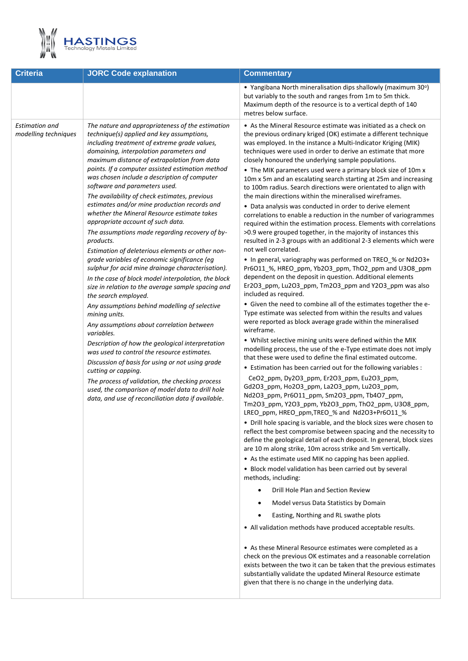

| <b>Criteria</b>                               | <b>JORC Code explanation</b>                                                                                                                                                                                                                                                                                                                                                                                                                                                                                                                                                                                                                                                                                                                                                                                                                                                                                                                                                                                                                                                                                                                                                                                                                                                                                                                                                                           | <b>Commentary</b>                                                                                                                                                                                                                                                                                                                                                                                                                                                                                                                                                                                                                                                                                                                                                                                                                                                                                                                                                                                                                                                                                                                                                                                                                                                                                                                                                                                                                                                                                                                                                                                                                                                                                                                                                                                                                                                                                                                                                                                                                                                                                                                                                                                                                                                                                                                                                                                                                                                                                                                                                                                                                                                                                                                                                                                                                                                                                                                          |  |  |
|-----------------------------------------------|--------------------------------------------------------------------------------------------------------------------------------------------------------------------------------------------------------------------------------------------------------------------------------------------------------------------------------------------------------------------------------------------------------------------------------------------------------------------------------------------------------------------------------------------------------------------------------------------------------------------------------------------------------------------------------------------------------------------------------------------------------------------------------------------------------------------------------------------------------------------------------------------------------------------------------------------------------------------------------------------------------------------------------------------------------------------------------------------------------------------------------------------------------------------------------------------------------------------------------------------------------------------------------------------------------------------------------------------------------------------------------------------------------|--------------------------------------------------------------------------------------------------------------------------------------------------------------------------------------------------------------------------------------------------------------------------------------------------------------------------------------------------------------------------------------------------------------------------------------------------------------------------------------------------------------------------------------------------------------------------------------------------------------------------------------------------------------------------------------------------------------------------------------------------------------------------------------------------------------------------------------------------------------------------------------------------------------------------------------------------------------------------------------------------------------------------------------------------------------------------------------------------------------------------------------------------------------------------------------------------------------------------------------------------------------------------------------------------------------------------------------------------------------------------------------------------------------------------------------------------------------------------------------------------------------------------------------------------------------------------------------------------------------------------------------------------------------------------------------------------------------------------------------------------------------------------------------------------------------------------------------------------------------------------------------------------------------------------------------------------------------------------------------------------------------------------------------------------------------------------------------------------------------------------------------------------------------------------------------------------------------------------------------------------------------------------------------------------------------------------------------------------------------------------------------------------------------------------------------------------------------------------------------------------------------------------------------------------------------------------------------------------------------------------------------------------------------------------------------------------------------------------------------------------------------------------------------------------------------------------------------------------------------------------------------------------------------------------------------------|--|--|
|                                               |                                                                                                                                                                                                                                                                                                                                                                                                                                                                                                                                                                                                                                                                                                                                                                                                                                                                                                                                                                                                                                                                                                                                                                                                                                                                                                                                                                                                        | • Yangibana North mineralisation dips shallowly (maximum 30°)<br>but variably to the south and ranges from 1m to 5m thick.<br>Maximum depth of the resource is to a vertical depth of 140<br>metres below surface.                                                                                                                                                                                                                                                                                                                                                                                                                                                                                                                                                                                                                                                                                                                                                                                                                                                                                                                                                                                                                                                                                                                                                                                                                                                                                                                                                                                                                                                                                                                                                                                                                                                                                                                                                                                                                                                                                                                                                                                                                                                                                                                                                                                                                                                                                                                                                                                                                                                                                                                                                                                                                                                                                                                         |  |  |
| <b>Estimation and</b><br>modelling techniques | The nature and appropriateness of the estimation<br>technique(s) applied and key assumptions,<br>including treatment of extreme grade values,<br>domaining, interpolation parameters and<br>maximum distance of extrapolation from data<br>points. If a computer assisted estimation method<br>was chosen include a description of computer<br>software and parameters used.<br>The availability of check estimates, previous<br>estimates and/or mine production records and<br>whether the Mineral Resource estimate takes<br>appropriate account of such data.<br>The assumptions made regarding recovery of by-<br>products.<br>Estimation of deleterious elements or other non-<br>grade variables of economic significance (eg<br>sulphur for acid mine drainage characterisation).<br>In the case of block model interpolation, the block<br>size in relation to the average sample spacing and<br>the search employed.<br>Any assumptions behind modelling of selective<br>mining units.<br>Any assumptions about correlation between<br>variables.<br>Description of how the geological interpretation<br>was used to control the resource estimates.<br>Discussion of basis for using or not using grade<br>cutting or capping.<br>The process of validation, the checking process<br>used, the comparison of model data to drill hole<br>data, and use of reconciliation data if available. | • As the Mineral Resource estimate was initiated as a check on<br>the previous ordinary kriged (OK) estimate a different technique<br>was employed. In the instance a Multi-Indicator Kriging (MIK)<br>techniques were used in order to derive an estimate that more<br>closely honoured the underlying sample populations.<br>• The MIK parameters used were a primary block size of 10m x<br>10m x 5m and an escalating search starting at 25m and increasing<br>to 100m radius. Search directions were orientated to align with<br>the main directions within the mineralised wireframes.<br>• Data analysis was conducted in order to derive element<br>correlations to enable a reduction in the number of variogrammes<br>required within the estimation process. Elements with correlations<br>>0.9 were grouped together, in the majority of instances this<br>resulted in 2-3 groups with an additional 2-3 elements which were<br>not well correlated.<br>• In general, variography was performed on TREO_% or Nd2O3+<br>Pr6O11_%, HREO_ppm, Yb2O3_ppm, ThO2_ppm and U3O8_ppm<br>dependent on the deposit in question. Additional elements<br>Er2O3_ppm, Lu2O3_ppm, Tm2O3_ppm and Y2O3_ppm was also<br>included as required.<br>• Given the need to combine all of the estimates together the e-<br>Type estimate was selected from within the results and values<br>were reported as block average grade within the mineralised<br>wireframe.<br>• Whilst selective mining units were defined within the MIK<br>modelling process, the use of the e-Type estimate does not imply<br>that these were used to define the final estimated outcome.<br>. Estimation has been carried out for the following variables :<br>CeO2_ppm, Dy2O3_ppm, Er2O3_ppm, Eu2O3_ppm,<br>Gd2O3_ppm, Ho2O3_ppm, La2O3_ppm, Lu2O3_ppm,<br>Nd2O3_ppm, Pr6O11_ppm, Sm2O3_ppm, Tb4O7_ppm,<br>Tm2O3_ppm, Y2O3_ppm, Yb2O3_ppm, ThO2_ppm, U3O8_ppm,<br>LREO_ppm, HREO_ppm, TREO_% and Nd2O3+Pr6O11_%<br>• Drill hole spacing is variable, and the block sizes were chosen to<br>reflect the best compromise between spacing and the necessity to<br>define the geological detail of each deposit. In general, block sizes<br>are 10 m along strike, 10m across strike and 5m vertically.<br>• As the estimate used MIK no capping has been applied.<br>• Block model validation has been carried out by several<br>methods, including:<br>Drill Hole Plan and Section Review<br>Model versus Data Statistics by Domain<br>Easting, Northing and RL swathe plots<br>• All validation methods have produced acceptable results.<br>• As these Mineral Resource estimates were completed as a<br>check on the previous OK estimates and a reasonable correlation<br>exists between the two it can be taken that the previous estimates<br>substantially validate the updated Mineral Resource estimate<br>given that there is no change in the underlying data. |  |  |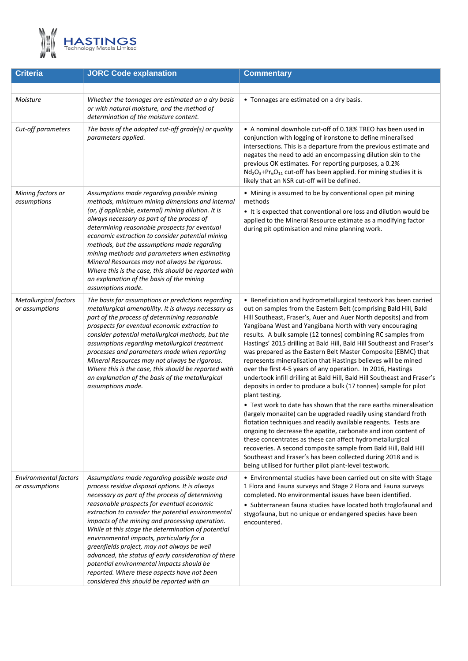

| <b>Criteria</b>                                | <b>JORC Code explanation</b>                                                                                                                                                                                                                                                                                                                                                                                                                                                                                                                                                                                                                                  | <b>Commentary</b>                                                                                                                                                                                                                                                                                                                                                                                                                                                                                                                                                                                                                                                                                                                                                                                                                                                                                                                                                                                                                                                                                                                                                                                                                                                                                                         |
|------------------------------------------------|---------------------------------------------------------------------------------------------------------------------------------------------------------------------------------------------------------------------------------------------------------------------------------------------------------------------------------------------------------------------------------------------------------------------------------------------------------------------------------------------------------------------------------------------------------------------------------------------------------------------------------------------------------------|---------------------------------------------------------------------------------------------------------------------------------------------------------------------------------------------------------------------------------------------------------------------------------------------------------------------------------------------------------------------------------------------------------------------------------------------------------------------------------------------------------------------------------------------------------------------------------------------------------------------------------------------------------------------------------------------------------------------------------------------------------------------------------------------------------------------------------------------------------------------------------------------------------------------------------------------------------------------------------------------------------------------------------------------------------------------------------------------------------------------------------------------------------------------------------------------------------------------------------------------------------------------------------------------------------------------------|
|                                                |                                                                                                                                                                                                                                                                                                                                                                                                                                                                                                                                                                                                                                                               |                                                                                                                                                                                                                                                                                                                                                                                                                                                                                                                                                                                                                                                                                                                                                                                                                                                                                                                                                                                                                                                                                                                                                                                                                                                                                                                           |
| Moisture                                       | Whether the tonnages are estimated on a dry basis<br>or with natural moisture, and the method of<br>determination of the moisture content.                                                                                                                                                                                                                                                                                                                                                                                                                                                                                                                    | • Tonnages are estimated on a dry basis.                                                                                                                                                                                                                                                                                                                                                                                                                                                                                                                                                                                                                                                                                                                                                                                                                                                                                                                                                                                                                                                                                                                                                                                                                                                                                  |
| Cut-off parameters                             | The basis of the adopted cut-off grade(s) or quality<br>parameters applied.                                                                                                                                                                                                                                                                                                                                                                                                                                                                                                                                                                                   | • A nominal downhole cut-off of 0.18% TREO has been used in<br>conjunction with logging of ironstone to define mineralised<br>intersections. This is a departure from the previous estimate and<br>negates the need to add an encompassing dilution skin to the<br>previous OK estimates. For reporting purposes, a 0.2%<br>Nd <sub>2</sub> O <sub>3</sub> +Pr <sub>6</sub> O <sub>11</sub> cut-off has been applied. For mining studies it is<br>likely that an NSR cut-off will be defined.                                                                                                                                                                                                                                                                                                                                                                                                                                                                                                                                                                                                                                                                                                                                                                                                                             |
| Mining factors or<br>assumptions               | Assumptions made regarding possible mining<br>methods, minimum mining dimensions and internal<br>(or, if applicable, external) mining dilution. It is<br>always necessary as part of the process of<br>determining reasonable prospects for eventual<br>economic extraction to consider potential mining<br>methods, but the assumptions made regarding<br>mining methods and parameters when estimating<br>Mineral Resources may not always be rigorous.<br>Where this is the case, this should be reported with<br>an explanation of the basis of the mining<br>assumptions made.                                                                           | • Mining is assumed to be by conventional open pit mining<br>methods<br>• It is expected that conventional ore loss and dilution would be<br>applied to the Mineral Resource estimate as a modifying factor<br>during pit optimisation and mine planning work.                                                                                                                                                                                                                                                                                                                                                                                                                                                                                                                                                                                                                                                                                                                                                                                                                                                                                                                                                                                                                                                            |
| <b>Metallurgical factors</b><br>or assumptions | The basis for assumptions or predictions regarding<br>metallurgical amenability. It is always necessary as<br>part of the process of determining reasonable<br>prospects for eventual economic extraction to<br>consider potential metallurgical methods, but the<br>assumptions regarding metallurgical treatment<br>processes and parameters made when reporting<br>Mineral Resources may not always be rigorous.<br>Where this is the case, this should be reported with<br>an explanation of the basis of the metallurgical<br>assumptions made.                                                                                                          | • Beneficiation and hydrometallurgical testwork has been carried<br>out on samples from the Eastern Belt (comprising Bald Hill, Bald<br>Hill Southeast, Fraser's, Auer and Auer North deposits) and from<br>Yangibana West and Yangibana North with very encouraging<br>results. A bulk sample (12 tonnes) combining RC samples from<br>Hastings' 2015 drilling at Bald Hill, Bald Hill Southeast and Fraser's<br>was prepared as the Eastern Belt Master Composite (EBMC) that<br>represents mineralisation that Hastings believes will be mined<br>over the first 4-5 years of any operation. In 2016, Hastings<br>undertook infill drilling at Bald Hill, Bald Hill Southeast and Fraser's<br>deposits in order to produce a bulk (17 tonnes) sample for pilot<br>plant testing.<br>• Test work to date has shown that the rare earths mineralisation<br>(largely monazite) can be upgraded readily using standard froth<br>flotation techniques and readily available reagents. Tests are<br>ongoing to decrease the apatite, carbonate and iron content of<br>these concentrates as these can affect hydrometallurgical<br>recoveries. A second composite sample from Bald Hill, Bald Hill<br>Southeast and Fraser's has been collected during 2018 and is<br>being utilised for further pilot plant-level testwork. |
| Environmental factors<br>or assumptions        | Assumptions made regarding possible waste and<br>process residue disposal options. It is always<br>necessary as part of the process of determining<br>reasonable prospects for eventual economic<br>extraction to consider the potential environmental<br>impacts of the mining and processing operation.<br>While at this stage the determination of potential<br>environmental impacts, particularly for a<br>greenfields project, may not always be well<br>advanced, the status of early consideration of these<br>potential environmental impacts should be<br>reported. Where these aspects have not been<br>considered this should be reported with an | • Environmental studies have been carried out on site with Stage<br>1 Flora and Fauna surveys and Stage 2 Flora and Fauna surveys<br>completed. No environmental issues have been identified.<br>• Subterranean fauna studies have located both troglofaunal and<br>stygofauna, but no unique or endangered species have been<br>encountered.                                                                                                                                                                                                                                                                                                                                                                                                                                                                                                                                                                                                                                                                                                                                                                                                                                                                                                                                                                             |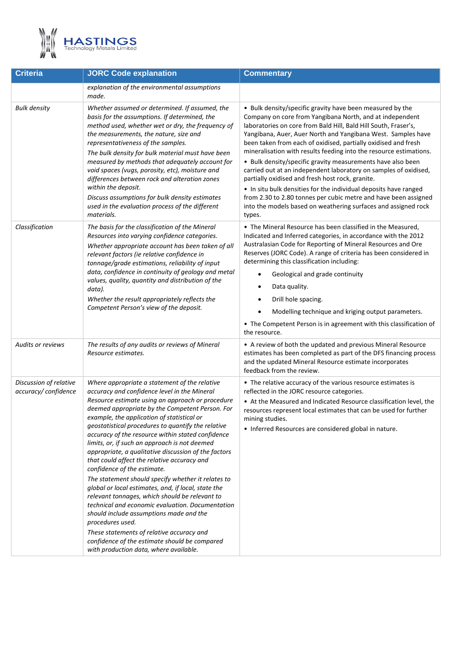

| <b>Criteria</b>                               | <b>JORC Code explanation</b>                                                                                                                                                                                                                                                                                                                                                                                                                                                                                                                                                                                                                                                                                                                                                                                                                                                                                                                                                   | <b>Commentary</b>                                                                                                                                                                                                                                                                                                                                                                                                                                                                                                                                                                                                                                                                                                                                                                                          |
|-----------------------------------------------|--------------------------------------------------------------------------------------------------------------------------------------------------------------------------------------------------------------------------------------------------------------------------------------------------------------------------------------------------------------------------------------------------------------------------------------------------------------------------------------------------------------------------------------------------------------------------------------------------------------------------------------------------------------------------------------------------------------------------------------------------------------------------------------------------------------------------------------------------------------------------------------------------------------------------------------------------------------------------------|------------------------------------------------------------------------------------------------------------------------------------------------------------------------------------------------------------------------------------------------------------------------------------------------------------------------------------------------------------------------------------------------------------------------------------------------------------------------------------------------------------------------------------------------------------------------------------------------------------------------------------------------------------------------------------------------------------------------------------------------------------------------------------------------------------|
|                                               | explanation of the environmental assumptions<br>made.                                                                                                                                                                                                                                                                                                                                                                                                                                                                                                                                                                                                                                                                                                                                                                                                                                                                                                                          |                                                                                                                                                                                                                                                                                                                                                                                                                                                                                                                                                                                                                                                                                                                                                                                                            |
| <b>Bulk density</b>                           | Whether assumed or determined. If assumed, the<br>basis for the assumptions. If determined, the<br>method used, whether wet or dry, the frequency of<br>the measurements, the nature, size and<br>representativeness of the samples.<br>The bulk density for bulk material must have been<br>measured by methods that adequately account for<br>void spaces (vugs, porosity, etc), moisture and<br>differences between rock and alteration zones<br>within the deposit.<br>Discuss assumptions for bulk density estimates<br>used in the evaluation process of the different<br>materials.                                                                                                                                                                                                                                                                                                                                                                                     | • Bulk density/specific gravity have been measured by the<br>Company on core from Yangibana North, and at independent<br>laboratories on core from Bald Hill, Bald Hill South, Fraser's,<br>Yangibana, Auer, Auer North and Yangibana West. Samples have<br>been taken from each of oxidised, partially oxidised and fresh<br>mineralisation with results feeding into the resource estimations.<br>• Bulk density/specific gravity measurements have also been<br>carried out at an independent laboratory on samples of oxidised,<br>partially oxidised and fresh host rock, granite.<br>• In situ bulk densities for the individual deposits have ranged<br>from 2.30 to 2.80 tonnes per cubic metre and have been assigned<br>into the models based on weathering surfaces and assigned rock<br>types. |
| Classification                                | The basis for the classification of the Mineral<br>Resources into varying confidence categories.<br>Whether appropriate account has been taken of all<br>relevant factors (ie relative confidence in<br>tonnage/grade estimations, reliability of input<br>data, confidence in continuity of geology and metal<br>values, quality, quantity and distribution of the<br>data).<br>Whether the result appropriately reflects the<br>Competent Person's view of the deposit.                                                                                                                                                                                                                                                                                                                                                                                                                                                                                                      | • The Mineral Resource has been classified in the Measured,<br>Indicated and Inferred categories, in accordance with the 2012<br>Australasian Code for Reporting of Mineral Resources and Ore<br>Reserves (JORC Code). A range of criteria has been considered in<br>determining this classification including:<br>Geological and grade continuity<br>Data quality.<br>٠<br>Drill hole spacing.<br>Modelling technique and kriging output parameters.<br>• The Competent Person is in agreement with this classification of<br>the resource.                                                                                                                                                                                                                                                               |
| <b>Audits or reviews</b>                      | The results of any audits or reviews of Mineral<br>Resource estimates.                                                                                                                                                                                                                                                                                                                                                                                                                                                                                                                                                                                                                                                                                                                                                                                                                                                                                                         | • A review of both the updated and previous Mineral Resource<br>estimates has been completed as part of the DFS financing process<br>and the updated Mineral Resource estimate incorporates<br>feedback from the review.                                                                                                                                                                                                                                                                                                                                                                                                                                                                                                                                                                                   |
| Discussion of relative<br>accuracy/confidence | Where appropriate a statement of the relative<br>accuracy and confidence level in the Mineral<br>Resource estimate using an approach or procedure<br>deemed appropriate by the Competent Person. For<br>example, the application of statistical or<br>geostatistical procedures to quantify the relative<br>accuracy of the resource within stated confidence<br>limits, or, if such an approach is not deemed<br>appropriate, a qualitative discussion of the factors<br>that could affect the relative accuracy and<br>confidence of the estimate.<br>The statement should specify whether it relates to<br>global or local estimates, and, if local, state the<br>relevant tonnages, which should be relevant to<br>technical and economic evaluation. Documentation<br>should include assumptions made and the<br>procedures used.<br>These statements of relative accuracy and<br>confidence of the estimate should be compared<br>with production data, where available. | • The relative accuracy of the various resource estimates is<br>reflected in the JORC resource categories.<br>• At the Measured and Indicated Resource classification level, the<br>resources represent local estimates that can be used for further<br>mining studies.<br>• Inferred Resources are considered global in nature.                                                                                                                                                                                                                                                                                                                                                                                                                                                                           |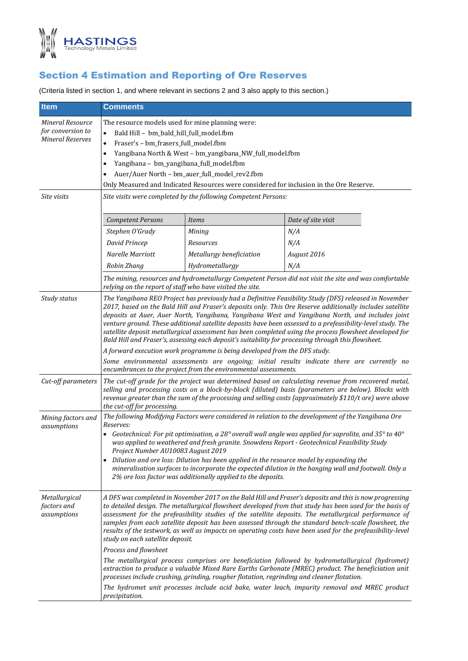

# Section 4 Estimation and Reporting of Ore Reserves

(Criteria listed in section 1, and where relevant in sections 2 and 3 also apply to this section.)

| <b>Item</b>                                                             | <b>Comments</b>                                                                                                                                                                                                                                                                                                                                                                                                                                                                                                                                                                                                                                         |                                                                                            |                                                                                                                                                                                                        |  |  |
|-------------------------------------------------------------------------|---------------------------------------------------------------------------------------------------------------------------------------------------------------------------------------------------------------------------------------------------------------------------------------------------------------------------------------------------------------------------------------------------------------------------------------------------------------------------------------------------------------------------------------------------------------------------------------------------------------------------------------------------------|--------------------------------------------------------------------------------------------|--------------------------------------------------------------------------------------------------------------------------------------------------------------------------------------------------------|--|--|
| <b>Mineral Resource</b><br>for conversion to<br><b>Mineral Reserves</b> | The resource models used for mine planning were:<br>Bald Hill - bm_bald_hill_full_model.fbm<br>$\bullet$<br>Fraser's - bm_frasers_full_model.fbm<br>$\bullet$<br>Yangibana North & West - bm_yangibana_NW_full_model.fbm<br>٠<br>Yangibana - bm_yangibana_full_model.fbm<br>٠<br>Auer/Auer North - bm_auer_full_model_rev2.fbm<br>Only Measured and Indicated Resources were considered for inclusion in the Ore Reserve.                                                                                                                                                                                                                               |                                                                                            |                                                                                                                                                                                                        |  |  |
| Site visits                                                             | Site visits were completed by the following Competent Persons:                                                                                                                                                                                                                                                                                                                                                                                                                                                                                                                                                                                          |                                                                                            |                                                                                                                                                                                                        |  |  |
|                                                                         | <b>Competent Persons</b>                                                                                                                                                                                                                                                                                                                                                                                                                                                                                                                                                                                                                                | <i>Items</i>                                                                               | Date of site visit                                                                                                                                                                                     |  |  |
|                                                                         | Stephen O'Grady                                                                                                                                                                                                                                                                                                                                                                                                                                                                                                                                                                                                                                         | Mining                                                                                     | N/A                                                                                                                                                                                                    |  |  |
|                                                                         | David Princep                                                                                                                                                                                                                                                                                                                                                                                                                                                                                                                                                                                                                                           | Resources                                                                                  | N/A                                                                                                                                                                                                    |  |  |
|                                                                         | Narelle Marriott                                                                                                                                                                                                                                                                                                                                                                                                                                                                                                                                                                                                                                        | Metallurgy beneficiation                                                                   | August 2016                                                                                                                                                                                            |  |  |
|                                                                         | Robin Zhang                                                                                                                                                                                                                                                                                                                                                                                                                                                                                                                                                                                                                                             | Hydrometallurgy                                                                            | N/A                                                                                                                                                                                                    |  |  |
|                                                                         | relying on the report of staff who have visited the site.                                                                                                                                                                                                                                                                                                                                                                                                                                                                                                                                                                                               |                                                                                            | The mining, resources and hydrometallurgy Competent Person did not visit the site and was comfortable                                                                                                  |  |  |
| Study status                                                            | The Yangibana REO Project has previously had a Definitive Feasibility Study (DFS) released in November<br>2017, based on the Bald Hill and Fraser's deposits only. This Ore Reserve additionally includes satellite<br>deposits at Auer, Auer North, Yangibana, Yangibana West and Yangibana North, and includes joint<br>venture ground. These additional satellite deposits have been assessed to a prefeasibility-level study. The<br>satellite deposit metallurgical assessment has been completed using the process flowsheet developed for<br>Bald Hill and Fraser's, assessing each deposit's suitability for processing through this flowsheet. |                                                                                            |                                                                                                                                                                                                        |  |  |
|                                                                         |                                                                                                                                                                                                                                                                                                                                                                                                                                                                                                                                                                                                                                                         | A forward execution work programme is being developed from the DFS study.                  |                                                                                                                                                                                                        |  |  |
|                                                                         | Some environmental assessments are ongoing; initial results indicate there are currently no<br>encumbrances to the project from the environmental assessments.                                                                                                                                                                                                                                                                                                                                                                                                                                                                                          |                                                                                            |                                                                                                                                                                                                        |  |  |
| Cut-off parameters                                                      | The cut-off grade for the project was determined based on calculating revenue from recovered metal,<br>selling and processing costs on a block-by-block (diluted) basis (parameters are below). Blocks with<br>revenue greater than the sum of the processing and selling costs (approximately \$110/t ore) were above<br>the cut-off for processing.                                                                                                                                                                                                                                                                                                   |                                                                                            |                                                                                                                                                                                                        |  |  |
| Mining factors and                                                      | The following Modifying Factors were considered in relation to the development of the Yangibana Ore                                                                                                                                                                                                                                                                                                                                                                                                                                                                                                                                                     |                                                                                            |                                                                                                                                                                                                        |  |  |
| assumptions                                                             | Reserves:<br>Project Number AU10083 August 2019                                                                                                                                                                                                                                                                                                                                                                                                                                                                                                                                                                                                         |                                                                                            | Geotechnical: For pit optimisation, a 28° overall wall angle was applied for saprolite, and 35° to 40°<br>was applied to weathered and fresh granite. Snowdens Report - Geotechnical Feasibility Study |  |  |
|                                                                         | • Dilution and ore loss: Dilution has been applied in the resource model by expanding the<br>mineralisation surfaces to incorporate the expected dilution in the hanging wall and footwall. Only a<br>2% ore loss factor was additionally applied to the deposits.                                                                                                                                                                                                                                                                                                                                                                                      |                                                                                            |                                                                                                                                                                                                        |  |  |
| Metallurgical<br>factors and<br>assumptions                             | A DFS was completed in November 2017 on the Bald Hill and Fraser's deposits and this is now progressing<br>to detailed design. The metallurgical flowsheet developed from that study has been used for the basis of<br>assessment for the prefeasibility studies of the satellite deposits. The metallurgical performance of<br>samples from each satellite deposit has been assessed through the standard bench-scale flowsheet, the<br>results of the testwork, as well as impacts on operating costs have been used for the prefeasibility-level<br>study on each satellite deposit.                                                                 |                                                                                            |                                                                                                                                                                                                        |  |  |
|                                                                         | Process and flowsheet                                                                                                                                                                                                                                                                                                                                                                                                                                                                                                                                                                                                                                   |                                                                                            |                                                                                                                                                                                                        |  |  |
|                                                                         |                                                                                                                                                                                                                                                                                                                                                                                                                                                                                                                                                                                                                                                         | processes include crushing, grinding, rougher flotation, regrinding and cleaner flotation. | The metallurgical process comprises ore beneficiation followed by hydrometallurgical (hydromet)<br>extraction to produce a valuable Mixed Rare Earths Carbonate (MREC) product. The beneficiation unit |  |  |
|                                                                         | precipitation.                                                                                                                                                                                                                                                                                                                                                                                                                                                                                                                                                                                                                                          |                                                                                            | The hydromet unit processes include acid bake, water leach, impurity removal and MREC product                                                                                                          |  |  |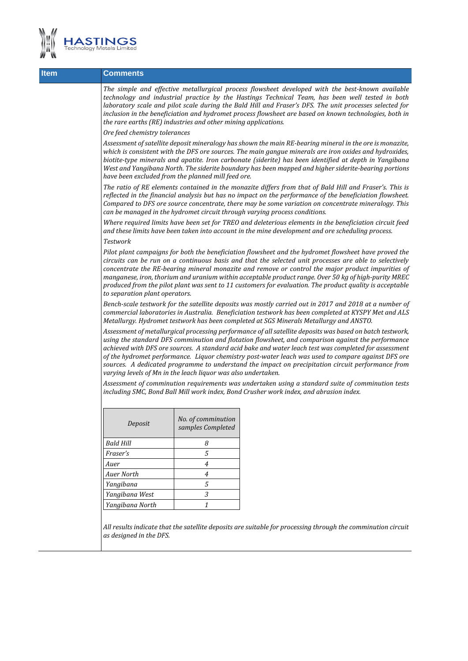

| <b>Item</b> | <b>Comments</b>                                                                                                                                                                                                                                                                                                                                                                                                                                                                            |                                                                                                                                                                                                                                                                                                                                                                                                                                                                                            |                                                                                                                                                                                                                                                                                                                                                                                                                                                                                                                                          |  |  |  |
|-------------|--------------------------------------------------------------------------------------------------------------------------------------------------------------------------------------------------------------------------------------------------------------------------------------------------------------------------------------------------------------------------------------------------------------------------------------------------------------------------------------------|--------------------------------------------------------------------------------------------------------------------------------------------------------------------------------------------------------------------------------------------------------------------------------------------------------------------------------------------------------------------------------------------------------------------------------------------------------------------------------------------|------------------------------------------------------------------------------------------------------------------------------------------------------------------------------------------------------------------------------------------------------------------------------------------------------------------------------------------------------------------------------------------------------------------------------------------------------------------------------------------------------------------------------------------|--|--|--|
|             |                                                                                                                                                                                                                                                                                                                                                                                                                                                                                            | The simple and effective metallurgical process flowsheet developed with the best-known available<br>technology and industrial practice by the Hastings Technical Team, has been well tested in both<br>laboratory scale and pilot scale during the Bald Hill and Fraser's DFS. The unit processes selected for<br>inclusion in the beneficiation and hydromet process flowsheet are based on known technologies, both in<br>the rare earths (RE) industries and other mining applications. |                                                                                                                                                                                                                                                                                                                                                                                                                                                                                                                                          |  |  |  |
|             | Ore feed chemistry tolerances                                                                                                                                                                                                                                                                                                                                                                                                                                                              |                                                                                                                                                                                                                                                                                                                                                                                                                                                                                            |                                                                                                                                                                                                                                                                                                                                                                                                                                                                                                                                          |  |  |  |
|             | Assessment of satellite deposit mineralogy has shown the main RE-bearing mineral in the ore is monazite,<br>which is consistent with the DFS ore sources. The main gangue minerals are iron oxides and hydroxides,<br>biotite-type minerals and apatite. Iron carbonate (siderite) has been identified at depth in Yangibana<br>West and Yangibana North. The siderite boundary has been mapped and higher siderite-bearing portions<br>have been excluded from the planned mill feed ore. |                                                                                                                                                                                                                                                                                                                                                                                                                                                                                            |                                                                                                                                                                                                                                                                                                                                                                                                                                                                                                                                          |  |  |  |
|             | The ratio of RE elements contained in the monazite differs from that of Bald Hill and Fraser's. This is<br>reflected in the financial analysis but has no impact on the performance of the beneficiation flowsheet.<br>Compared to DFS ore source concentrate, there may be some variation on concentrate mineralogy. This<br>can be managed in the hydromet circuit through varying process conditions.                                                                                   |                                                                                                                                                                                                                                                                                                                                                                                                                                                                                            |                                                                                                                                                                                                                                                                                                                                                                                                                                                                                                                                          |  |  |  |
|             | Where required limits have been set for TREO and deleterious elements in the beneficiation circuit feed<br>and these limits have been taken into account in the mine development and ore scheduling process.                                                                                                                                                                                                                                                                               |                                                                                                                                                                                                                                                                                                                                                                                                                                                                                            |                                                                                                                                                                                                                                                                                                                                                                                                                                                                                                                                          |  |  |  |
|             | <b>Testwork</b>                                                                                                                                                                                                                                                                                                                                                                                                                                                                            |                                                                                                                                                                                                                                                                                                                                                                                                                                                                                            |                                                                                                                                                                                                                                                                                                                                                                                                                                                                                                                                          |  |  |  |
|             | to separation plant operators.                                                                                                                                                                                                                                                                                                                                                                                                                                                             |                                                                                                                                                                                                                                                                                                                                                                                                                                                                                            | Pilot plant campaigns for both the beneficiation flowsheet and the hydromet flowsheet have proved the<br>circuits can be run on a continuous basis and that the selected unit processes are able to selectively<br>concentrate the RE-bearing mineral monazite and remove or control the major product impurities of<br>manganese, iron, thorium and uranium within acceptable product range. Over 50 kg of high-purity MREC<br>produced from the pilot plant was sent to 11 customers for evaluation. The product quality is acceptable |  |  |  |
|             | Bench-scale testwork for the satellite deposits was mostly carried out in 2017 and 2018 at a number of<br>commercial laboratories in Australia. Beneficiation testwork has been completed at KYSPY Met and ALS<br>Metallurgy. Hydromet testwork has been completed at SGS Minerals Metallurgy and ANSTO.                                                                                                                                                                                   |                                                                                                                                                                                                                                                                                                                                                                                                                                                                                            |                                                                                                                                                                                                                                                                                                                                                                                                                                                                                                                                          |  |  |  |
|             | varying levels of Mn in the leach liquor was also undertaken.                                                                                                                                                                                                                                                                                                                                                                                                                              |                                                                                                                                                                                                                                                                                                                                                                                                                                                                                            | Assessment of metallurgical processing performance of all satellite deposits was based on batch testwork,<br>using the standard DFS comminution and flotation flowsheet, and comparison against the performance<br>achieved with DFS ore sources. A standard acid bake and water leach test was completed for assessment<br>of the hydromet performance. Liquor chemistry post-water leach was used to compare against DFS ore<br>sources. A dedicated programme to understand the impact on precipitation circuit performance from      |  |  |  |
|             | Assessment of comminution requirements was undertaken using a standard suite of comminution tests<br>including SMC, Bond Ball Mill work index, Bond Crusher work index, and abrasion index.                                                                                                                                                                                                                                                                                                |                                                                                                                                                                                                                                                                                                                                                                                                                                                                                            |                                                                                                                                                                                                                                                                                                                                                                                                                                                                                                                                          |  |  |  |
|             |                                                                                                                                                                                                                                                                                                                                                                                                                                                                                            |                                                                                                                                                                                                                                                                                                                                                                                                                                                                                            |                                                                                                                                                                                                                                                                                                                                                                                                                                                                                                                                          |  |  |  |
|             | Deposit                                                                                                                                                                                                                                                                                                                                                                                                                                                                                    | No. of comminution<br>samples Completed                                                                                                                                                                                                                                                                                                                                                                                                                                                    |                                                                                                                                                                                                                                                                                                                                                                                                                                                                                                                                          |  |  |  |
|             | <b>Bald Hill</b>                                                                                                                                                                                                                                                                                                                                                                                                                                                                           | 8                                                                                                                                                                                                                                                                                                                                                                                                                                                                                          |                                                                                                                                                                                                                                                                                                                                                                                                                                                                                                                                          |  |  |  |
|             | Fraser's                                                                                                                                                                                                                                                                                                                                                                                                                                                                                   | 5                                                                                                                                                                                                                                                                                                                                                                                                                                                                                          |                                                                                                                                                                                                                                                                                                                                                                                                                                                                                                                                          |  |  |  |
|             | Auer                                                                                                                                                                                                                                                                                                                                                                                                                                                                                       | $\boldsymbol{4}$                                                                                                                                                                                                                                                                                                                                                                                                                                                                           |                                                                                                                                                                                                                                                                                                                                                                                                                                                                                                                                          |  |  |  |
|             | Auer North                                                                                                                                                                                                                                                                                                                                                                                                                                                                                 | $\overline{4}$                                                                                                                                                                                                                                                                                                                                                                                                                                                                             |                                                                                                                                                                                                                                                                                                                                                                                                                                                                                                                                          |  |  |  |
|             | Yangibana                                                                                                                                                                                                                                                                                                                                                                                                                                                                                  | 5                                                                                                                                                                                                                                                                                                                                                                                                                                                                                          |                                                                                                                                                                                                                                                                                                                                                                                                                                                                                                                                          |  |  |  |
|             | Yangibana West                                                                                                                                                                                                                                                                                                                                                                                                                                                                             | 3                                                                                                                                                                                                                                                                                                                                                                                                                                                                                          |                                                                                                                                                                                                                                                                                                                                                                                                                                                                                                                                          |  |  |  |
|             | Yangibana North                                                                                                                                                                                                                                                                                                                                                                                                                                                                            | 1                                                                                                                                                                                                                                                                                                                                                                                                                                                                                          |                                                                                                                                                                                                                                                                                                                                                                                                                                                                                                                                          |  |  |  |
|             | as designed in the DFS.                                                                                                                                                                                                                                                                                                                                                                                                                                                                    |                                                                                                                                                                                                                                                                                                                                                                                                                                                                                            | All results indicate that the satellite deposits are suitable for processing through the comminution circuit                                                                                                                                                                                                                                                                                                                                                                                                                             |  |  |  |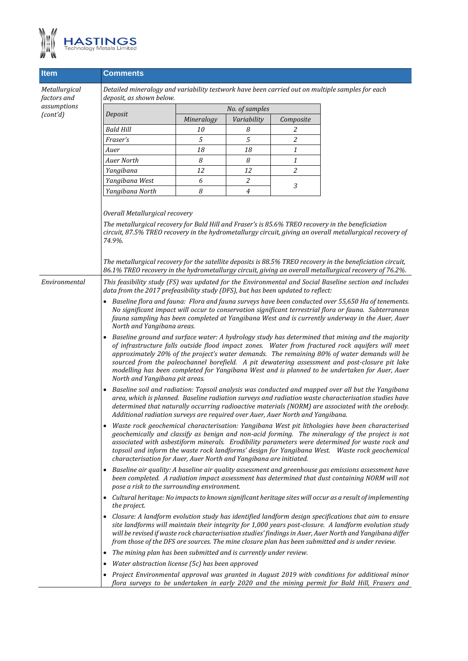

| <b>Item</b>                  | Comments                                                                                                                                                                                                                                                                                                                                                                                                                                                                                                                                   |                                                                                                                                                                                                                                                                                                                                                                                                                                |                  |           |                                                                                                          |  |  |  |
|------------------------------|--------------------------------------------------------------------------------------------------------------------------------------------------------------------------------------------------------------------------------------------------------------------------------------------------------------------------------------------------------------------------------------------------------------------------------------------------------------------------------------------------------------------------------------------|--------------------------------------------------------------------------------------------------------------------------------------------------------------------------------------------------------------------------------------------------------------------------------------------------------------------------------------------------------------------------------------------------------------------------------|------------------|-----------|----------------------------------------------------------------------------------------------------------|--|--|--|
| Metallurgical<br>factors and | Detailed mineralogy and variability testwork have been carried out on multiple samples for each<br>deposit, as shown below.                                                                                                                                                                                                                                                                                                                                                                                                                |                                                                                                                                                                                                                                                                                                                                                                                                                                |                  |           |                                                                                                          |  |  |  |
| assumptions                  |                                                                                                                                                                                                                                                                                                                                                                                                                                                                                                                                            | No. of samples                                                                                                                                                                                                                                                                                                                                                                                                                 |                  |           |                                                                                                          |  |  |  |
| (cont'd)                     | Deposit                                                                                                                                                                                                                                                                                                                                                                                                                                                                                                                                    | Mineralogy                                                                                                                                                                                                                                                                                                                                                                                                                     | Variability      | Composite |                                                                                                          |  |  |  |
|                              | <b>Bald Hill</b>                                                                                                                                                                                                                                                                                                                                                                                                                                                                                                                           | 10                                                                                                                                                                                                                                                                                                                                                                                                                             | 8                | 2         |                                                                                                          |  |  |  |
|                              | Fraser's                                                                                                                                                                                                                                                                                                                                                                                                                                                                                                                                   | 5                                                                                                                                                                                                                                                                                                                                                                                                                              | 5                | 2         |                                                                                                          |  |  |  |
|                              | Auer                                                                                                                                                                                                                                                                                                                                                                                                                                                                                                                                       | 18                                                                                                                                                                                                                                                                                                                                                                                                                             | 18               | 1         |                                                                                                          |  |  |  |
|                              | <b>Auer North</b>                                                                                                                                                                                                                                                                                                                                                                                                                                                                                                                          | 8                                                                                                                                                                                                                                                                                                                                                                                                                              | 8                | 1         |                                                                                                          |  |  |  |
|                              | Yangibana                                                                                                                                                                                                                                                                                                                                                                                                                                                                                                                                  | 12                                                                                                                                                                                                                                                                                                                                                                                                                             | 12               | 2         |                                                                                                          |  |  |  |
|                              | Yangibana West                                                                                                                                                                                                                                                                                                                                                                                                                                                                                                                             | 6                                                                                                                                                                                                                                                                                                                                                                                                                              | $\boldsymbol{2}$ | 3         |                                                                                                          |  |  |  |
|                              | Yangibana North                                                                                                                                                                                                                                                                                                                                                                                                                                                                                                                            | 8                                                                                                                                                                                                                                                                                                                                                                                                                              | $\overline{4}$   |           |                                                                                                          |  |  |  |
|                              | Overall Metallurgical recovery<br>The metallurgical recovery for Bald Hill and Fraser's is 85.6% TREO recovery in the beneficiation<br>circuit, 87.5% TREO recovery in the hydrometallurgy circuit, giving an overall metallurgical recovery of<br>74.9%.<br>The metallurgical recovery for the satellite deposits is 88.5% TREO recovery in the beneficiation circuit,<br>86.1% TREO recovery in the hydrometallurgy circuit, giving an overall metallurgical recovery of 76.2%.                                                          |                                                                                                                                                                                                                                                                                                                                                                                                                                |                  |           |                                                                                                          |  |  |  |
| Environmental                | This feasibility study (FS) was updated for the Environmental and Social Baseline section and includes<br>data from the 2017 prefeasibility study (DFS), but has been updated to reflect:                                                                                                                                                                                                                                                                                                                                                  |                                                                                                                                                                                                                                                                                                                                                                                                                                |                  |           |                                                                                                          |  |  |  |
|                              | • Baseline flora and fauna: Flora and fauna surveys have been conducted over 55,650 Ha of tenements.<br>No significant impact will occur to conservation significant terrestrial flora or fauna. Subterranean<br>fauna sampling has been completed at Yangibana West and is currently underway in the Auer, Auer<br>North and Yangibana areas.                                                                                                                                                                                             |                                                                                                                                                                                                                                                                                                                                                                                                                                |                  |           |                                                                                                          |  |  |  |
|                              | Baseline ground and surface water: A hydrology study has determined that mining and the majority<br>of infrastructure falls outside flood impact zones. Water from fractured rock aquifers will meet<br>approximately 20% of the project's water demands. The remaining 80% of water demands will be<br>sourced from the paleochannel borefield. A pit dewatering assessment and post-closure pit lake<br>modelling has been completed for Yangibana West and is planned to be undertaken for Auer, Auer<br>North and Yangibana pit areas. |                                                                                                                                                                                                                                                                                                                                                                                                                                |                  |           |                                                                                                          |  |  |  |
|                              | Baseline soil and radiation: Topsoil analysis was conducted and mapped over all but the Yangibana<br>area, which is planned. Baseline radiation surveys and radiation waste characterisation studies have<br>determined that naturally occurring radioactive materials (NORM) are associated with the orebody.<br>Additional radiation surveys are required over Auer, Auer North and Yangibana.                                                                                                                                           |                                                                                                                                                                                                                                                                                                                                                                                                                                |                  |           |                                                                                                          |  |  |  |
|                              | Waste rock geochemical characterisation: Yangibana West pit lithologies have been characterised<br>geochemically and classify as benign and non-acid forming. The mineralogy of the project is not<br>associated with asbestiform minerals. Erodibility parameters were determined for waste rock and<br>topsoil and inform the waste rock landforms' design for Yangibana West. Waste rock geochemical<br>characterisation for Auer, Auer North and Yangibana are initiated.                                                              |                                                                                                                                                                                                                                                                                                                                                                                                                                |                  |           |                                                                                                          |  |  |  |
|                              | Baseline air quality: A baseline air quality assessment and greenhouse gas emissions assessment have<br>$\bullet$<br>been completed. A radiation impact assessment has determined that dust containing NORM will not<br>pose a risk to the surrounding environment.                                                                                                                                                                                                                                                                        |                                                                                                                                                                                                                                                                                                                                                                                                                                |                  |           |                                                                                                          |  |  |  |
|                              | the project.                                                                                                                                                                                                                                                                                                                                                                                                                                                                                                                               |                                                                                                                                                                                                                                                                                                                                                                                                                                |                  |           | Cultural heritage: No impacts to known significant heritage sites will occur as a result of implementing |  |  |  |
|                              |                                                                                                                                                                                                                                                                                                                                                                                                                                                                                                                                            | Closure: A landform evolution study has identified landform design specifications that aim to ensure<br>site landforms will maintain their integrity for 1,000 years post-closure. A landform evolution study<br>will be revised if waste rock characterisation studies' findings in Auer, Auer North and Yangibana differ<br>from those of the DFS ore sources. The mine closure plan has been submitted and is under review. |                  |           |                                                                                                          |  |  |  |
|                              | The mining plan has been submitted and is currently under review.                                                                                                                                                                                                                                                                                                                                                                                                                                                                          |                                                                                                                                                                                                                                                                                                                                                                                                                                |                  |           |                                                                                                          |  |  |  |
|                              | Water abstraction license (5c) has been approved                                                                                                                                                                                                                                                                                                                                                                                                                                                                                           |                                                                                                                                                                                                                                                                                                                                                                                                                                |                  |           |                                                                                                          |  |  |  |
|                              | • Project Environmental approval was granted in August 2019 with conditions for additional minor<br>flora surveys to be undertaken in early 2020 and the mining permit for Bald Hill, Frasers and                                                                                                                                                                                                                                                                                                                                          |                                                                                                                                                                                                                                                                                                                                                                                                                                |                  |           |                                                                                                          |  |  |  |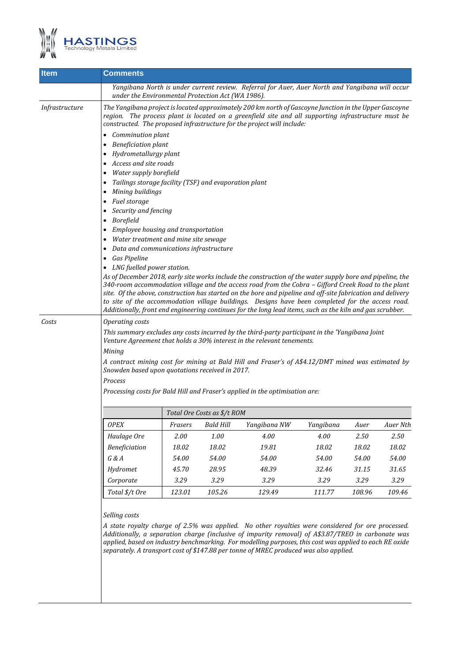

| <b>Item</b>    | Comments                                                                                          |                                                                                                                                                                                                                                                                                         |           |                                                                                                                                                                                                  |           |          |          |  |  |  |
|----------------|---------------------------------------------------------------------------------------------------|-----------------------------------------------------------------------------------------------------------------------------------------------------------------------------------------------------------------------------------------------------------------------------------------|-----------|--------------------------------------------------------------------------------------------------------------------------------------------------------------------------------------------------|-----------|----------|----------|--|--|--|
|                | under the Environmental Protection Act (WA 1986).                                                 |                                                                                                                                                                                                                                                                                         |           | Yangibana North is under current review. Referral for Auer, Auer North and Yangibana will occur                                                                                                  |           |          |          |  |  |  |
| Infrastructure |                                                                                                   | The Yangibana project is located approximately 200 km north of Gascoyne Junction in the Upper Gascoyne<br>region. The process plant is located on a greenfield site and all supporting infrastructure must be<br>constructed. The proposed infrastructure for the project will include: |           |                                                                                                                                                                                                  |           |          |          |  |  |  |
|                | Comminution plant                                                                                 |                                                                                                                                                                                                                                                                                         |           |                                                                                                                                                                                                  |           |          |          |  |  |  |
|                | <b>Beneficiation plant</b><br>$\bullet$                                                           |                                                                                                                                                                                                                                                                                         |           |                                                                                                                                                                                                  |           |          |          |  |  |  |
|                | Hydrometallurgy plant                                                                             |                                                                                                                                                                                                                                                                                         |           |                                                                                                                                                                                                  |           |          |          |  |  |  |
|                | Access and site roads<br>$\bullet$                                                                |                                                                                                                                                                                                                                                                                         |           |                                                                                                                                                                                                  |           |          |          |  |  |  |
|                | Water supply borefield                                                                            |                                                                                                                                                                                                                                                                                         |           |                                                                                                                                                                                                  |           |          |          |  |  |  |
|                | Tailings storage facility (TSF) and evaporation plant                                             |                                                                                                                                                                                                                                                                                         |           |                                                                                                                                                                                                  |           |          |          |  |  |  |
|                | Mining buildings                                                                                  |                                                                                                                                                                                                                                                                                         |           |                                                                                                                                                                                                  |           |          |          |  |  |  |
|                | Fuel storage                                                                                      |                                                                                                                                                                                                                                                                                         |           |                                                                                                                                                                                                  |           |          |          |  |  |  |
|                | Security and fencing<br>Borefield<br>$\bullet$                                                    |                                                                                                                                                                                                                                                                                         |           |                                                                                                                                                                                                  |           |          |          |  |  |  |
|                | Employee housing and transportation                                                               |                                                                                                                                                                                                                                                                                         |           |                                                                                                                                                                                                  |           |          |          |  |  |  |
|                | Water treatment and mine site sewage                                                              |                                                                                                                                                                                                                                                                                         |           |                                                                                                                                                                                                  |           |          |          |  |  |  |
|                | Data and communications infrastructure                                                            |                                                                                                                                                                                                                                                                                         |           |                                                                                                                                                                                                  |           |          |          |  |  |  |
|                | Gas Pipeline                                                                                      |                                                                                                                                                                                                                                                                                         |           |                                                                                                                                                                                                  |           |          |          |  |  |  |
|                | • LNG fuelled power station.                                                                      |                                                                                                                                                                                                                                                                                         |           |                                                                                                                                                                                                  |           |          |          |  |  |  |
|                |                                                                                                   |                                                                                                                                                                                                                                                                                         |           | As of December 2018, early site works include the construction of the water supply bore and pipeline, the                                                                                        |           |          |          |  |  |  |
|                |                                                                                                   | 340-room accommodation village and the access road from the Cobra - Gifford Creek Road to the plant                                                                                                                                                                                     |           |                                                                                                                                                                                                  |           |          |          |  |  |  |
|                |                                                                                                   | site. Of the above, construction has started on the bore and pipeline and off-site fabrication and delivery<br>to site of the accommodation village buildings. Designs have been completed for the access road.                                                                         |           |                                                                                                                                                                                                  |           |          |          |  |  |  |
|                |                                                                                                   |                                                                                                                                                                                                                                                                                         |           | Additionally, front end engineering continues for the long lead items, such as the kiln and gas scrubber.                                                                                        |           |          |          |  |  |  |
| Costs          | Operating costs                                                                                   |                                                                                                                                                                                                                                                                                         |           |                                                                                                                                                                                                  |           |          |          |  |  |  |
|                |                                                                                                   | This summary excludes any costs incurred by the third-party participant in the 'Yangibana Joint                                                                                                                                                                                         |           |                                                                                                                                                                                                  |           |          |          |  |  |  |
|                |                                                                                                   | Venture Agreement that holds a 30% interest in the relevant tenements.                                                                                                                                                                                                                  |           |                                                                                                                                                                                                  |           |          |          |  |  |  |
|                | Mining                                                                                            |                                                                                                                                                                                                                                                                                         |           |                                                                                                                                                                                                  |           |          |          |  |  |  |
|                | A contract mining cost for mining at Bald Hill and Fraser's of A\$4.12/DMT mined was estimated by |                                                                                                                                                                                                                                                                                         |           |                                                                                                                                                                                                  |           |          |          |  |  |  |
|                | Snowden based upon quotations received in 2017.                                                   |                                                                                                                                                                                                                                                                                         |           |                                                                                                                                                                                                  |           |          |          |  |  |  |
|                | Process                                                                                           |                                                                                                                                                                                                                                                                                         |           |                                                                                                                                                                                                  |           |          |          |  |  |  |
|                | Processing costs for Bald Hill and Fraser's applied in the optimisation are:                      |                                                                                                                                                                                                                                                                                         |           |                                                                                                                                                                                                  |           |          |          |  |  |  |
|                |                                                                                                   | Total Ore Costs as \$/t ROM                                                                                                                                                                                                                                                             |           |                                                                                                                                                                                                  |           |          |          |  |  |  |
|                | OPEX                                                                                              | Frasers                                                                                                                                                                                                                                                                                 | Bald Hill | Yangibana NW                                                                                                                                                                                     | Yangibana | Auer     | Auer Nth |  |  |  |
|                | Haulage Ore                                                                                       | 2.00                                                                                                                                                                                                                                                                                    | 1.00      | 4.00                                                                                                                                                                                             | 4.00      | $2.50\,$ | 2.50     |  |  |  |
|                | Beneficiation                                                                                     | 18.02                                                                                                                                                                                                                                                                                   | 18.02     | 19.81                                                                                                                                                                                            | 18.02     | 18.02    | 18.02    |  |  |  |
|                | G & A                                                                                             | 54.00                                                                                                                                                                                                                                                                                   | 54.00     | 54.00                                                                                                                                                                                            | 54.00     | 54.00    | 54.00    |  |  |  |
|                | Hydromet                                                                                          | 45.70                                                                                                                                                                                                                                                                                   | 28.95     | 48.39                                                                                                                                                                                            | 32.46     | 31.15    | 31.65    |  |  |  |
|                | Corporate                                                                                         | 3.29                                                                                                                                                                                                                                                                                    | 3.29      | 3.29                                                                                                                                                                                             | 3.29      | 3.29     | 3.29     |  |  |  |
|                | Total \$/t Ore                                                                                    | 123.01                                                                                                                                                                                                                                                                                  | 105.26    | 129.49                                                                                                                                                                                           | 111.77    | 108.96   | 109.46   |  |  |  |
|                |                                                                                                   |                                                                                                                                                                                                                                                                                         |           |                                                                                                                                                                                                  |           |          |          |  |  |  |
|                | Selling costs                                                                                     |                                                                                                                                                                                                                                                                                         |           |                                                                                                                                                                                                  |           |          |          |  |  |  |
|                |                                                                                                   |                                                                                                                                                                                                                                                                                         |           | A state royalty charge of 2.5% was applied. No other royalties were considered for ore processed.                                                                                                |           |          |          |  |  |  |
|                |                                                                                                   |                                                                                                                                                                                                                                                                                         |           | Additionally, a separation charge (inclusive of impurity removal) of A\$3.87/TREO in carbonate was                                                                                               |           |          |          |  |  |  |
|                |                                                                                                   |                                                                                                                                                                                                                                                                                         |           | applied, based on industry benchmarking. For modelling purposes, this cost was applied to each RE oxide<br>separately. A transport cost of \$147.88 per tonne of MREC produced was also applied. |           |          |          |  |  |  |
|                |                                                                                                   |                                                                                                                                                                                                                                                                                         |           |                                                                                                                                                                                                  |           |          |          |  |  |  |
|                |                                                                                                   |                                                                                                                                                                                                                                                                                         |           |                                                                                                                                                                                                  |           |          |          |  |  |  |
|                |                                                                                                   |                                                                                                                                                                                                                                                                                         |           |                                                                                                                                                                                                  |           |          |          |  |  |  |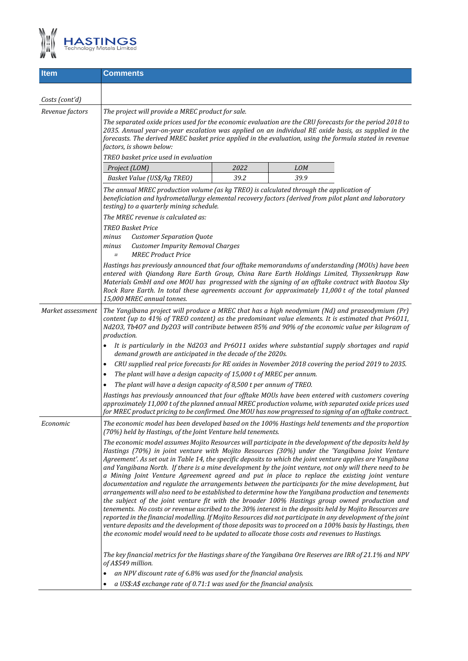

| <b>Item</b>       | <b>Comments</b>                                                                                                                                                                                                                                                                                                                                                                                                                                                                                                                                                                                                                                                                                                                                                                                                                                                                                                                                                                                                                                                                                                                                                                                                                                                                                |      |            |  |  |  |
|-------------------|------------------------------------------------------------------------------------------------------------------------------------------------------------------------------------------------------------------------------------------------------------------------------------------------------------------------------------------------------------------------------------------------------------------------------------------------------------------------------------------------------------------------------------------------------------------------------------------------------------------------------------------------------------------------------------------------------------------------------------------------------------------------------------------------------------------------------------------------------------------------------------------------------------------------------------------------------------------------------------------------------------------------------------------------------------------------------------------------------------------------------------------------------------------------------------------------------------------------------------------------------------------------------------------------|------|------------|--|--|--|
|                   |                                                                                                                                                                                                                                                                                                                                                                                                                                                                                                                                                                                                                                                                                                                                                                                                                                                                                                                                                                                                                                                                                                                                                                                                                                                                                                |      |            |  |  |  |
| Costs (cont'd)    |                                                                                                                                                                                                                                                                                                                                                                                                                                                                                                                                                                                                                                                                                                                                                                                                                                                                                                                                                                                                                                                                                                                                                                                                                                                                                                |      |            |  |  |  |
| Revenue factors   | The project will provide a MREC product for sale.                                                                                                                                                                                                                                                                                                                                                                                                                                                                                                                                                                                                                                                                                                                                                                                                                                                                                                                                                                                                                                                                                                                                                                                                                                              |      |            |  |  |  |
|                   | The separated oxide prices used for the economic evaluation are the CRU forecasts for the period 2018 to<br>2035. Annual year-on-year escalation was applied on an individual RE oxide basis, as supplied in the<br>forecasts. The derived MREC basket price applied in the evaluation, using the formula stated in revenue<br>factors, is shown below:                                                                                                                                                                                                                                                                                                                                                                                                                                                                                                                                                                                                                                                                                                                                                                                                                                                                                                                                        |      |            |  |  |  |
|                   | TREO basket price used in evaluation                                                                                                                                                                                                                                                                                                                                                                                                                                                                                                                                                                                                                                                                                                                                                                                                                                                                                                                                                                                                                                                                                                                                                                                                                                                           |      |            |  |  |  |
|                   | Project (LOM)                                                                                                                                                                                                                                                                                                                                                                                                                                                                                                                                                                                                                                                                                                                                                                                                                                                                                                                                                                                                                                                                                                                                                                                                                                                                                  | 2022 | <b>LOM</b> |  |  |  |
|                   | Basket Value (US\$/kg TREO)                                                                                                                                                                                                                                                                                                                                                                                                                                                                                                                                                                                                                                                                                                                                                                                                                                                                                                                                                                                                                                                                                                                                                                                                                                                                    | 39.2 | 39.9       |  |  |  |
|                   | The annual MREC production volume (as kg TREO) is calculated through the application of<br>beneficiation and hydrometallurgy elemental recovery factors (derived from pilot plant and laboratory<br>testing) to a quarterly mining schedule.                                                                                                                                                                                                                                                                                                                                                                                                                                                                                                                                                                                                                                                                                                                                                                                                                                                                                                                                                                                                                                                   |      |            |  |  |  |
|                   | The MREC revenue is calculated as:                                                                                                                                                                                                                                                                                                                                                                                                                                                                                                                                                                                                                                                                                                                                                                                                                                                                                                                                                                                                                                                                                                                                                                                                                                                             |      |            |  |  |  |
|                   | <b>TREO Basket Price</b><br><b>Customer Separation Quote</b><br>minus<br><b>Customer Impurity Removal Charges</b><br>minus<br><b>MREC Product Price</b>                                                                                                                                                                                                                                                                                                                                                                                                                                                                                                                                                                                                                                                                                                                                                                                                                                                                                                                                                                                                                                                                                                                                        |      |            |  |  |  |
|                   | $=$<br>Hastings has previously announced that four offtake memorandums of understanding (MOUs) have been<br>entered with Qiandong Rare Earth Group, China Rare Earth Holdings Limited, Thyssenkrupp Raw<br>Materials GmbH and one MOU has progressed with the signing of an offtake contract with Baotou Sky<br>Rock Rare Earth. In total these agreements account for approximately 11,000 t of the total planned<br>15,000 MREC annual tonnes.                                                                                                                                                                                                                                                                                                                                                                                                                                                                                                                                                                                                                                                                                                                                                                                                                                               |      |            |  |  |  |
| Market assessment | The Yangibana project will produce a MREC that has a high neodymium (Nd) and praseodymium (Pr)<br>content (up to 41% of TREO content) as the predominant value elements. It is estimated that Pr6011,<br>Nd203, Tb407 and Dy203 will contribute between 85% and 90% of the economic value per kilogram of<br>production.<br>It is particularly in the Nd203 and Pr6011 oxides where substantial supply shortages and rapid<br>demand growth are anticipated in the decade of the 2020s.<br>CRU supplied real price forecasts for RE oxides in November 2018 covering the period 2019 to 2035.<br>$\bullet$<br>The plant will have a design capacity of 15,000 t of MREC per annum.<br>$\bullet$<br>The plant will have a design capacity of 8,500 t per annum of TREO.<br>$\bullet$<br>Hastings has previously announced that four offtake MOUs have been entered with customers covering<br>approximately 11,000 t of the planned annual MREC production volume, with separated oxide prices used<br>for MREC product pricing to be confirmed. One MOU has now progressed to signing of an offtake contract.                                                                                                                                                                                  |      |            |  |  |  |
| Economic          | The economic model has been developed based on the 100% Hastings held tenements and the proportion<br>(70%) held by Hastings, of the Joint Venture held tenements.                                                                                                                                                                                                                                                                                                                                                                                                                                                                                                                                                                                                                                                                                                                                                                                                                                                                                                                                                                                                                                                                                                                             |      |            |  |  |  |
|                   | The economic model assumes Mojito Resources will participate in the development of the deposits held by<br>Hastings (70%) in joint venture with Mojito Resources (30%) under the 'Yangibana Joint Venture<br>Agreement'. As set out in Table 14, the specific deposits to which the joint venture applies are Yangibana<br>and Yangibana North. If there is a mine development by the joint venture, not only will there need to be<br>a Mining Joint Venture Agreement agreed and put in place to replace the existing joint venture<br>documentation and regulate the arrangements between the participants for the mine development, but<br>arrangements will also need to be established to determine how the Yangibana production and tenements<br>the subject of the joint venture fit with the broader 100% Hastings group owned production and<br>tenements. No costs or revenue ascribed to the 30% interest in the deposits held by Mojito Resources are<br>reported in the financial modelling. If Mojito Resources did not participate in any development of the joint<br>venture deposits and the development of those deposits was to proceed on a 100% basis by Hastings, then<br>the economic model would need to be updated to allocate those costs and revenues to Hastings. |      |            |  |  |  |
|                   | The key financial metrics for the Hastings share of the Yangibana Ore Reserves are IRR of 21.1% and NPV<br>of A\$549 million.<br>an NPV discount rate of 6.8% was used for the financial analysis.<br>$\bullet$<br>a US\$:A\$ exchange rate of 0.71:1 was used for the financial analysis.                                                                                                                                                                                                                                                                                                                                                                                                                                                                                                                                                                                                                                                                                                                                                                                                                                                                                                                                                                                                     |      |            |  |  |  |
|                   | $\bullet$                                                                                                                                                                                                                                                                                                                                                                                                                                                                                                                                                                                                                                                                                                                                                                                                                                                                                                                                                                                                                                                                                                                                                                                                                                                                                      |      |            |  |  |  |